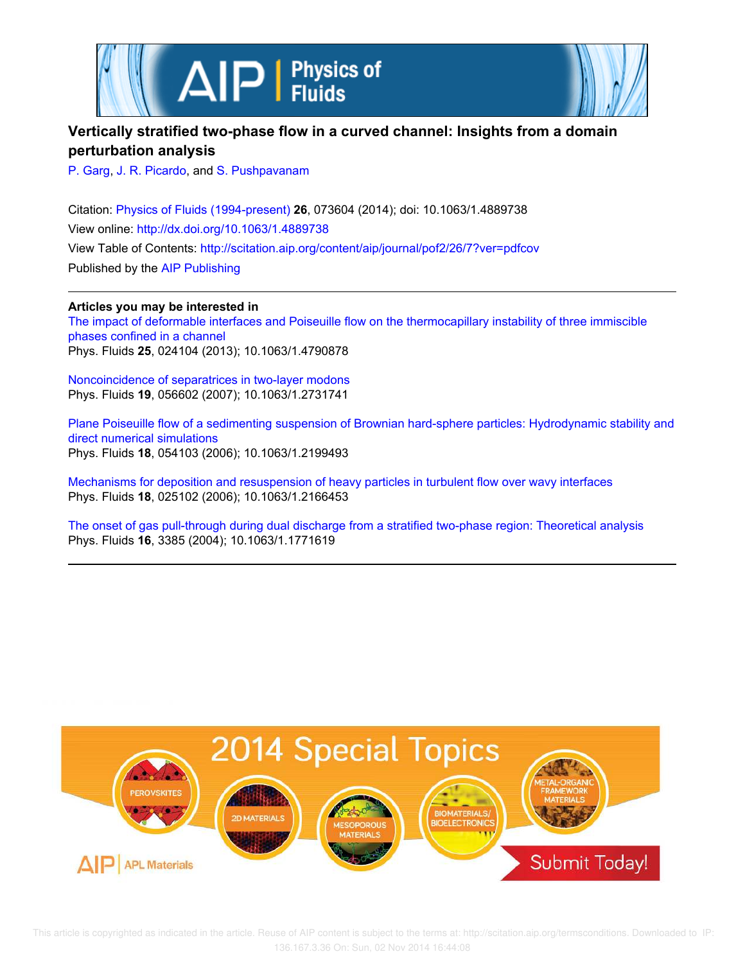



# **Vertically stratified two-phase flow in a curved channel: Insights from a domain perturbation analysis**

P. Garg, J. R. Picardo, and S. Pushpavanam

Citation: Physics of Fluids (1994-present) **26**, 073604 (2014); doi: 10.1063/1.4889738 View online: http://dx.doi.org/10.1063/1.4889738 View Table of Contents: http://scitation.aip.org/content/aip/journal/pof2/26/7?ver=pdfcov Published by the AIP Publishing

# **Articles you may be interested in**

The impact of deformable interfaces and Poiseuille flow on the thermocapillary instability of three immiscible phases confined in a channel Phys. Fluids **25**, 024104 (2013); 10.1063/1.4790878

Noncoincidence of separatrices in two-layer modons Phys. Fluids **19**, 056602 (2007); 10.1063/1.2731741

Plane Poiseuille flow of a sedimenting suspension of Brownian hard-sphere particles: Hydrodynamic stability and direct numerical simulations Phys. Fluids **18**, 054103 (2006); 10.1063/1.2199493

Mechanisms for deposition and resuspension of heavy particles in turbulent flow over wavy interfaces Phys. Fluids **18**, 025102 (2006); 10.1063/1.2166453

The onset of gas pull-through during dual discharge from a stratified two-phase region: Theoretical analysis Phys. Fluids **16**, 3385 (2004); 10.1063/1.1771619



 This article is copyrighted as indicated in the article. Reuse of AIP content is subject to the terms at: http://scitation.aip.org/termsconditions. Downloaded to IP: 136.167.3.36 On: Sun, 02 Nov 2014 16:44:08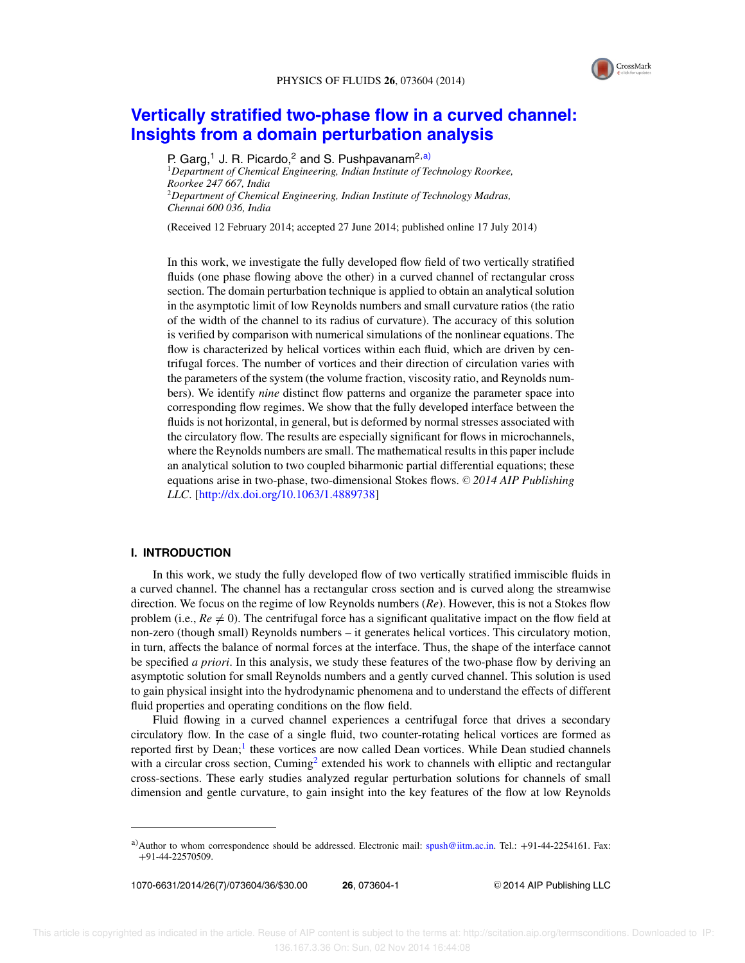

# **Vertically stratified two-phase flow in a curved channel: Insights from a domain perturbation analysis**

P. Garg,<sup>1</sup> J. R. Picardo,<sup>2</sup> and S. Pushpavanam<sup>2,a)</sup> <sup>1</sup>*Department of Chemical Engineering, Indian Institute of Technology Roorkee, Roorkee 247 667, India* <sup>2</sup>*Department of Chemical Engineering, Indian Institute of Technology Madras, Chennai 600 036, India*

(Received 12 February 2014; accepted 27 June 2014; published online 17 July 2014)

In this work, we investigate the fully developed flow field of two vertically stratified fluids (one phase flowing above the other) in a curved channel of rectangular cross section. The domain perturbation technique is applied to obtain an analytical solution in the asymptotic limit of low Reynolds numbers and small curvature ratios (the ratio of the width of the channel to its radius of curvature). The accuracy of this solution is verified by comparison with numerical simulations of the nonlinear equations. The flow is characterized by helical vortices within each fluid, which are driven by centrifugal forces. The number of vortices and their direction of circulation varies with the parameters of the system (the volume fraction, viscosity ratio, and Reynolds numbers). We identify *nine* distinct flow patterns and organize the parameter space into corresponding flow regimes. We show that the fully developed interface between the fluids is not horizontal, in general, but is deformed by normal stresses associated with the circulatory flow. The results are especially significant for flows in microchannels, where the Reynolds numbers are small. The mathematical results in this paper include an analytical solution to two coupled biharmonic partial differential equations; these equations arise in two-phase, two-dimensional Stokes flows. © 2014 AIP Publishing *LLC*. [http://dx.doi.org/10.1063/1.4889738]

## **I. INTRODUCTION**

In this work, we study the fully developed flow of two vertically stratified immiscible fluids in a curved channel. The channel has a rectangular cross section and is curved along the streamwise direction. We focus on the regime of low Reynolds numbers (*Re*). However, this is not a Stokes flow problem (i.e.,  $Re \neq 0$ ). The centrifugal force has a significant qualitative impact on the flow field at non-zero (though small) Reynolds numbers – it generates helical vortices. This circulatory motion, in turn, affects the balance of normal forces at the interface. Thus, the shape of the interface cannot be specified *a priori*. In this analysis, we study these features of the two-phase flow by deriving an asymptotic solution for small Reynolds numbers and a gently curved channel. This solution is used to gain physical insight into the hydrodynamic phenomena and to understand the effects of different fluid properties and operating conditions on the flow field.

Fluid flowing in a curved channel experiences a centrifugal force that drives a secondary circulatory flow. In the case of a single fluid, two counter-rotating helical vortices are formed as reported first by Dean;<sup>1</sup> these vortices are now called Dean vortices. While Dean studied channels with a circular cross section, Cuming<sup>2</sup> extended his work to channels with elliptic and rectangular cross-sections. These early studies analyzed regular perturbation solutions for channels of small dimension and gentle curvature, to gain insight into the key features of the flow at low Reynolds

1070-6631/2014/26(7)/073604/36/\$30.00 **26**, 073604-1 -

<sup>C</sup> 2014 AIP Publishing LLC

a)Author to whom correspondence should be addressed. Electronic mail: spush@iitm.ac.in. Tel.: +91-44-2254161. Fax: +91-44-22570509.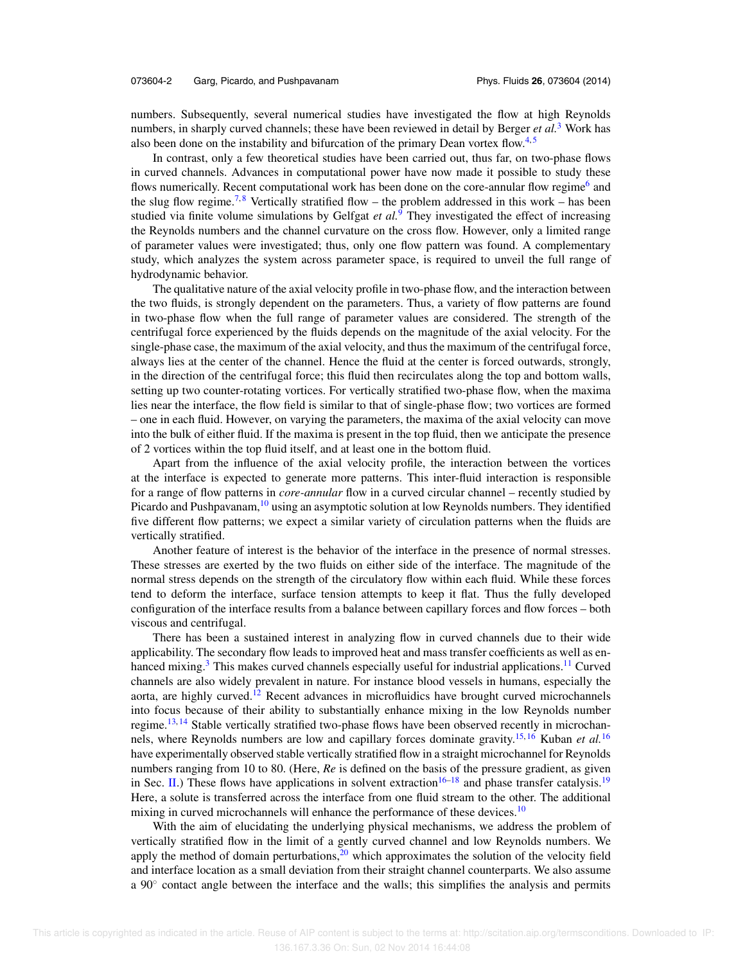numbers. Subsequently, several numerical studies have investigated the flow at high Reynolds numbers, in sharply curved channels; these have been reviewed in detail by Berger *et al.*<sup>3</sup> Work has also been done on the instability and bifurcation of the primary Dean vortex flow.<sup>4,5</sup>

In contrast, only a few theoretical studies have been carried out, thus far, on two-phase flows in curved channels. Advances in computational power have now made it possible to study these flows numerically. Recent computational work has been done on the core-annular flow regime<sup>6</sup> and the slug flow regime.<sup>7,8</sup> Vertically stratified flow – the problem addressed in this work – has been studied via finite volume simulations by Gelfgat *et al.*<sup>9</sup> They investigated the effect of increasing the Reynolds numbers and the channel curvature on the cross flow. However, only a limited range of parameter values were investigated; thus, only one flow pattern was found. A complementary study, which analyzes the system across parameter space, is required to unveil the full range of hydrodynamic behavior.

The qualitative nature of the axial velocity profile in two-phase flow, and the interaction between the two fluids, is strongly dependent on the parameters. Thus, a variety of flow patterns are found in two-phase flow when the full range of parameter values are considered. The strength of the centrifugal force experienced by the fluids depends on the magnitude of the axial velocity. For the single-phase case, the maximum of the axial velocity, and thus the maximum of the centrifugal force, always lies at the center of the channel. Hence the fluid at the center is forced outwards, strongly, in the direction of the centrifugal force; this fluid then recirculates along the top and bottom walls, setting up two counter-rotating vortices. For vertically stratified two-phase flow, when the maxima lies near the interface, the flow field is similar to that of single-phase flow; two vortices are formed – one in each fluid. However, on varying the parameters, the maxima of the axial velocity can move into the bulk of either fluid. If the maxima is present in the top fluid, then we anticipate the presence of 2 vortices within the top fluid itself, and at least one in the bottom fluid.

Apart from the influence of the axial velocity profile, the interaction between the vortices at the interface is expected to generate more patterns. This inter-fluid interaction is responsible for a range of flow patterns in *core-annular* flow in a curved circular channel – recently studied by Picardo and Pushpavanam,<sup>10</sup> using an asymptotic solution at low Reynolds numbers. They identified five different flow patterns; we expect a similar variety of circulation patterns when the fluids are vertically stratified.

Another feature of interest is the behavior of the interface in the presence of normal stresses. These stresses are exerted by the two fluids on either side of the interface. The magnitude of the normal stress depends on the strength of the circulatory flow within each fluid. While these forces tend to deform the interface, surface tension attempts to keep it flat. Thus the fully developed configuration of the interface results from a balance between capillary forces and flow forces – both viscous and centrifugal.

There has been a sustained interest in analyzing flow in curved channels due to their wide applicability. The secondary flow leads to improved heat and mass transfer coefficients as well as enhanced mixing.<sup>3</sup> This makes curved channels especially useful for industrial applications.<sup>11</sup> Curved channels are also widely prevalent in nature. For instance blood vessels in humans, especially the aorta, are highly curved.<sup>12</sup> Recent advances in microfluidics have brought curved microchannels into focus because of their ability to substantially enhance mixing in the low Reynolds number regime.<sup>13, 14</sup> Stable vertically stratified two-phase flows have been observed recently in microchannels, where Reynolds numbers are low and capillary forces dominate gravity.15, <sup>16</sup> Kuban *et al.*<sup>16</sup> have experimentally observed stable vertically stratified flow in a straight microchannel for Reynolds numbers ranging from 10 to 80. (Here, *Re* is defined on the basis of the pressure gradient, as given in Sec. II.) These flows have applications in solvent extraction<sup>16–18</sup> and phase transfer catalysis.<sup>19</sup> Here, a solute is transferred across the interface from one fluid stream to the other. The additional mixing in curved microchannels will enhance the performance of these devices.<sup>10</sup>

With the aim of elucidating the underlying physical mechanisms, we address the problem of vertically stratified flow in the limit of a gently curved channel and low Reynolds numbers. We apply the method of domain perturbations, $20$  which approximates the solution of the velocity field and interface location as a small deviation from their straight channel counterparts. We also assume a 90<sup>°</sup> contact angle between the interface and the walls; this simplifies the analysis and permits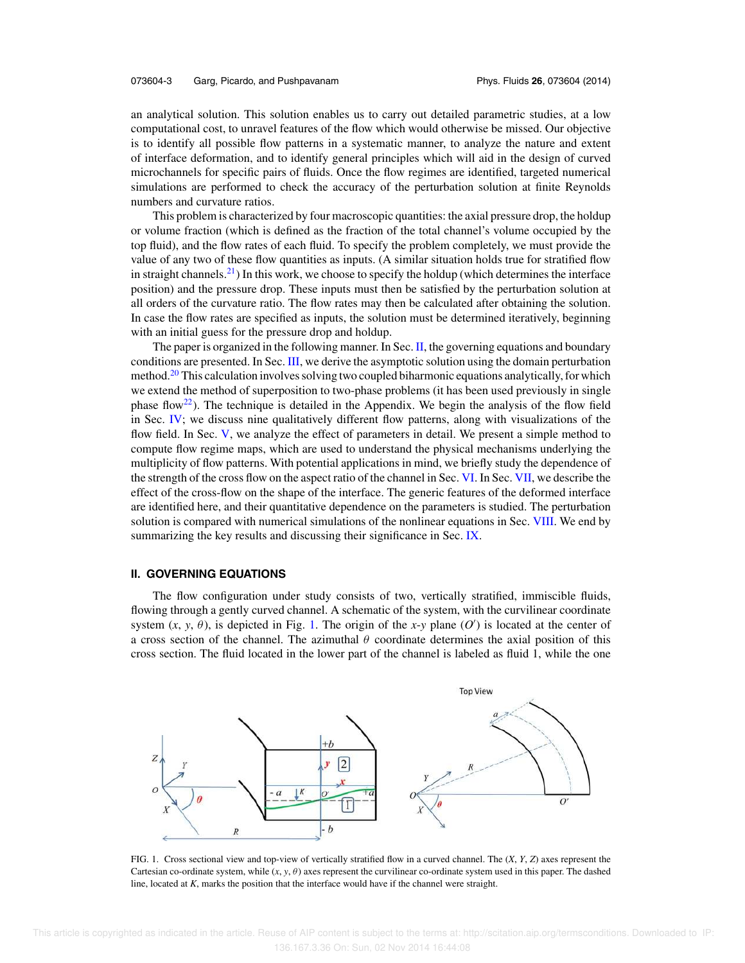an analytical solution. This solution enables us to carry out detailed parametric studies, at a low computational cost, to unravel features of the flow which would otherwise be missed. Our objective is to identify all possible flow patterns in a systematic manner, to analyze the nature and extent of interface deformation, and to identify general principles which will aid in the design of curved microchannels for specific pairs of fluids. Once the flow regimes are identified, targeted numerical simulations are performed to check the accuracy of the perturbation solution at finite Reynolds numbers and curvature ratios.

This problem is characterized by four macroscopic quantities: the axial pressure drop, the holdup or volume fraction (which is defined as the fraction of the total channel's volume occupied by the top fluid), and the flow rates of each fluid. To specify the problem completely, we must provide the value of any two of these flow quantities as inputs. (A similar situation holds true for stratified flow in straight channels.<sup>21</sup>) In this work, we choose to specify the holdup (which determines the interface position) and the pressure drop. These inputs must then be satisfied by the perturbation solution at all orders of the curvature ratio. The flow rates may then be calculated after obtaining the solution. In case the flow rates are specified as inputs, the solution must be determined iteratively, beginning with an initial guess for the pressure drop and holdup.

The paper is organized in the following manner. In Sec. II, the governing equations and boundary conditions are presented. In Sec. III, we derive the asymptotic solution using the domain perturbation method.<sup>20</sup> This calculation involves solving two coupled biharmonic equations analytically, for which we extend the method of superposition to two-phase problems (it has been used previously in single phase flow<sup>22</sup>). The technique is detailed in the Appendix. We begin the analysis of the flow field in Sec. IV; we discuss nine qualitatively different flow patterns, along with visualizations of the flow field. In Sec. V, we analyze the effect of parameters in detail. We present a simple method to compute flow regime maps, which are used to understand the physical mechanisms underlying the multiplicity of flow patterns. With potential applications in mind, we briefly study the dependence of the strength of the cross flow on the aspect ratio of the channel in Sec. VI. In Sec. VII, we describe the effect of the cross-flow on the shape of the interface. The generic features of the deformed interface are identified here, and their quantitative dependence on the parameters is studied. The perturbation solution is compared with numerical simulations of the nonlinear equations in Sec. VIII. We end by summarizing the key results and discussing their significance in Sec. IX.

#### **II. GOVERNING EQUATIONS**

The flow configuration under study consists of two, vertically stratified, immiscible fluids, flowing through a gently curved channel. A schematic of the system, with the curvilinear coordinate system  $(x, y, \theta)$ , is depicted in Fig. 1. The origin of the *x*-*y* plane  $(O')$  is located at the center of a cross section of the channel. The azimuthal  $\theta$  coordinate determines the axial position of this cross section. The fluid located in the lower part of the channel is labeled as fluid 1, while the one



FIG. 1. Cross sectional view and top-view of vertically stratified flow in a curved channel. The (*X*, *Y*, *Z*) axes represent the Cartesian co-ordinate system, while  $(x, y, \theta)$  axes represent the curvilinear co-ordinate system used in this paper. The dashed line, located at *K*, marks the position that the interface would have if the channel were straight.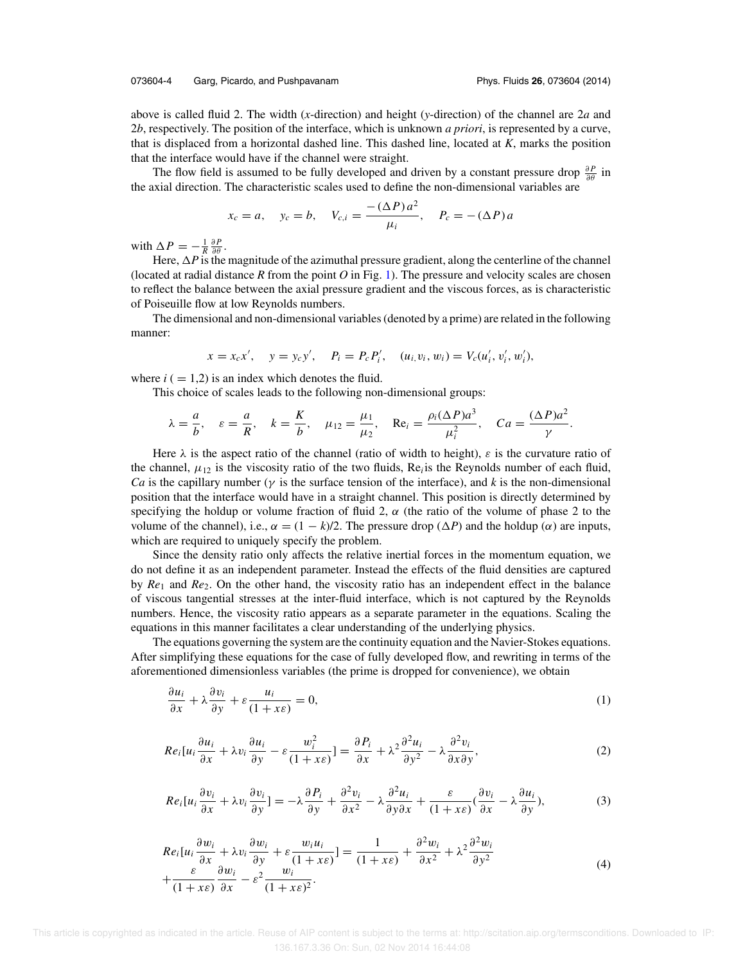above is called fluid 2. The width (*x*-direction) and height (*y*-direction) of the channel are 2*a* and 2*b*, respectively. The position of the interface, which is unknown *a priori*, is represented by a curve, that is displaced from a horizontal dashed line. This dashed line, located at *K*, marks the position that the interface would have if the channel were straight.

The flow field is assumed to be fully developed and driven by a constant pressure drop  $\frac{\partial P}{\partial \theta}$  in the axial direction. The characteristic scales used to define the non-dimensional variables are

$$
x_c = a
$$
,  $y_c = b$ ,  $V_{c,i} = \frac{-(\Delta P) a^2}{\mu_i}$ ,  $P_c = -(\Delta P) a$ 

with  $\Delta P = -\frac{1}{R} \frac{\partial P}{\partial \theta}$ .

Here,  $\Delta P$  is the magnitude of the azimuthal pressure gradient, along the centerline of the channel (located at radial distance *R* from the point *O* in Fig. 1). The pressure and velocity scales are chosen to reflect the balance between the axial pressure gradient and the viscous forces, as is characteristic of Poiseuille flow at low Reynolds numbers.

The dimensional and non-dimensional variables (denoted by a prime) are related in the following manner:

$$
x = x_c x'
$$
,  $y = y_c y'$ ,  $P_i = P_c P'_i$ ,  $(u_i, v_i, w_i) = V_c(u'_i, v'_i, w'_i)$ ,

where  $i (= 1,2)$  is an index which denotes the fluid.

This choice of scales leads to the following non-dimensional groups:

$$
\lambda = \frac{a}{b}, \quad \varepsilon = \frac{a}{R}, \quad k = \frac{K}{b}, \quad \mu_{12} = \frac{\mu_1}{\mu_2}, \quad \text{Re}_i = \frac{\rho_i(\Delta P)a^3}{\mu_i^2}, \quad Ca = \frac{(\Delta P)a^2}{\gamma}.
$$

Here  $\lambda$  is the aspect ratio of the channel (ratio of width to height),  $\varepsilon$  is the curvature ratio of the channel,  $\mu_{12}$  is the viscosity ratio of the two fluids,  $Re_i$  is the Reynolds number of each fluid, *Ca* is the capillary number ( $\gamma$  is the surface tension of the interface), and *k* is the non-dimensional position that the interface would have in a straight channel. This position is directly determined by specifying the holdup or volume fraction of fluid 2,  $\alpha$  (the ratio of the volume of phase 2 to the volume of the channel), i.e.,  $\alpha = (1 - k)/2$ . The pressure drop  $(\Delta P)$  and the holdup ( $\alpha$ ) are inputs, which are required to uniquely specify the problem.

Since the density ratio only affects the relative inertial forces in the momentum equation, we do not define it as an independent parameter. Instead the effects of the fluid densities are captured by *Re*<sup>1</sup> and *Re*2. On the other hand, the viscosity ratio has an independent effect in the balance of viscous tangential stresses at the inter-fluid interface, which is not captured by the Reynolds numbers. Hence, the viscosity ratio appears as a separate parameter in the equations. Scaling the equations in this manner facilitates a clear understanding of the underlying physics.

The equations governing the system are the continuity equation and the Navier-Stokes equations. After simplifying these equations for the case of fully developed flow, and rewriting in terms of the aforementioned dimensionless variables (the prime is dropped for convenience), we obtain

$$
\frac{\partial u_i}{\partial x} + \lambda \frac{\partial v_i}{\partial y} + \varepsilon \frac{u_i}{(1 + x\varepsilon)} = 0,
$$
\n(1)

$$
Re_i[u_i\frac{\partial u_i}{\partial x} + \lambda v_i\frac{\partial u_i}{\partial y} - \varepsilon \frac{w_i^2}{(1+x\varepsilon)}] = \frac{\partial P_i}{\partial x} + \lambda^2 \frac{\partial^2 u_i}{\partial y^2} - \lambda \frac{\partial^2 v_i}{\partial x \partial y},\tag{2}
$$

$$
Re_i[u_i\frac{\partial v_i}{\partial x} + \lambda v_i\frac{\partial v_i}{\partial y}] = -\lambda \frac{\partial P_i}{\partial y} + \frac{\partial^2 v_i}{\partial x^2} - \lambda \frac{\partial^2 u_i}{\partial y \partial x} + \frac{\varepsilon}{(1+x\varepsilon)}(\frac{\partial v_i}{\partial x} - \lambda \frac{\partial u_i}{\partial y}),\tag{3}
$$

$$
Re_i[u_i\frac{\partial w_i}{\partial x} + \lambda v_i\frac{\partial w_i}{\partial y} + \varepsilon \frac{w_i u_i}{(1 + x\varepsilon)}] = \frac{1}{(1 + x\varepsilon)} + \frac{\partial^2 w_i}{\partial x^2} + \lambda^2 \frac{\partial^2 w_i}{\partial y^2} + \frac{\varepsilon}{(1 + x\varepsilon)} \frac{\partial w_i}{\partial x} - \varepsilon^2 \frac{w_i}{(1 + x\varepsilon)^2}.
$$
\n(4)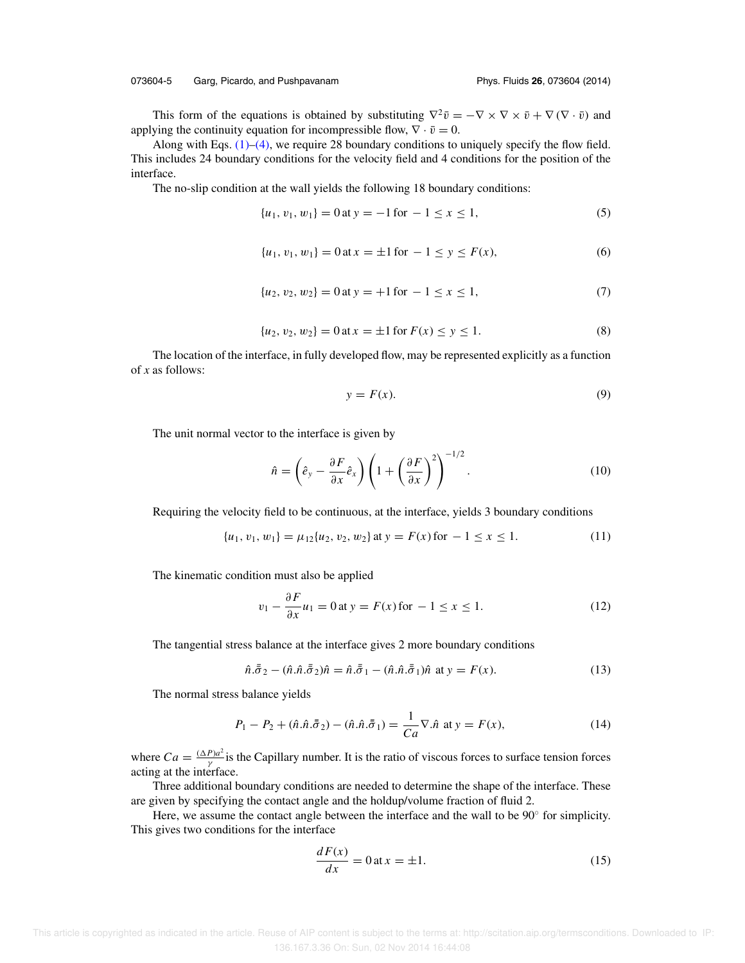This form of the equations is obtained by substituting  $\nabla^2 \bar{v} = -\nabla \times \nabla \times \bar{v} + \nabla (\nabla \cdot \bar{v})$  and applying the continuity equation for incompressible flow,  $\nabla \cdot \bar{v} = 0$ .

Along with Eqs.  $(1)$ – $(4)$ , we require 28 boundary conditions to uniquely specify the flow field. This includes 24 boundary conditions for the velocity field and 4 conditions for the position of the interface.

The no-slip condition at the wall yields the following 18 boundary conditions:

$$
\{u_1, v_1, w_1\} = 0 \text{ at } y = -1 \text{ for } -1 \le x \le 1,
$$
 (5)

$$
\{u_1, v_1, w_1\} = 0 \text{ at } x = \pm 1 \text{ for } -1 \le y \le F(x),\tag{6}
$$

$$
\{u_2, v_2, w_2\} = 0 \text{ at } y = +1 \text{ for } -1 \le x \le 1,
$$
 (7)

$$
\{u_2, v_2, w_2\} = 0 \text{ at } x = \pm 1 \text{ for } F(x) \le y \le 1. \tag{8}
$$

The location of the interface, in fully developed flow, may be represented explicitly as a function of *x* as follows:

$$
y = F(x). \tag{9}
$$

The unit normal vector to the interface is given by

$$
\hat{n} = \left(\hat{e}_y - \frac{\partial F}{\partial x}\hat{e}_x\right) \left(1 + \left(\frac{\partial F}{\partial x}\right)^2\right)^{-1/2}.\tag{10}
$$

Requiring the velocity field to be continuous, at the interface, yields 3 boundary conditions

$$
\{u_1, v_1, w_1\} = \mu_{12}\{u_2, v_2, w_2\} \text{ at } y = F(x) \text{ for } -1 \le x \le 1. \tag{11}
$$

The kinematic condition must also be applied

$$
v_1 - \frac{\partial F}{\partial x} u_1 = 0 \text{ at } y = F(x) \text{ for } -1 \le x \le 1.
$$
 (12)

The tangential stress balance at the interface gives 2 more boundary conditions

$$
\hat{n}.\bar{\bar{\sigma}}_2 - (\hat{n}.\hat{n}.\bar{\bar{\sigma}}_2)\hat{n} = \hat{n}.\bar{\bar{\sigma}}_1 - (\hat{n}.\hat{n}.\bar{\bar{\sigma}}_1)\hat{n} \text{ at } y = F(x). \tag{13}
$$

The normal stress balance yields

$$
P_1 - P_2 + (\hat{n}.\hat{n}.\bar{\bar{\sigma}}_2) - (\hat{n}.\hat{n}.\bar{\bar{\sigma}}_1) = \frac{1}{Ca}\nabla.\hat{n} \text{ at } y = F(x),\tag{14}
$$

where  $Ca = \frac{(\Delta P)a^2}{\gamma}$  $\frac{p}{\gamma}$  is the Capillary number. It is the ratio of viscous forces to surface tension forces acting at the interface.

Three additional boundary conditions are needed to determine the shape of the interface. These are given by specifying the contact angle and the holdup/volume fraction of fluid 2.

Here, we assume the contact angle between the interface and the wall to be  $90°$  for simplicity. This gives two conditions for the interface

$$
\frac{dF(x)}{dx} = 0 \text{ at } x = \pm 1.
$$
 (15)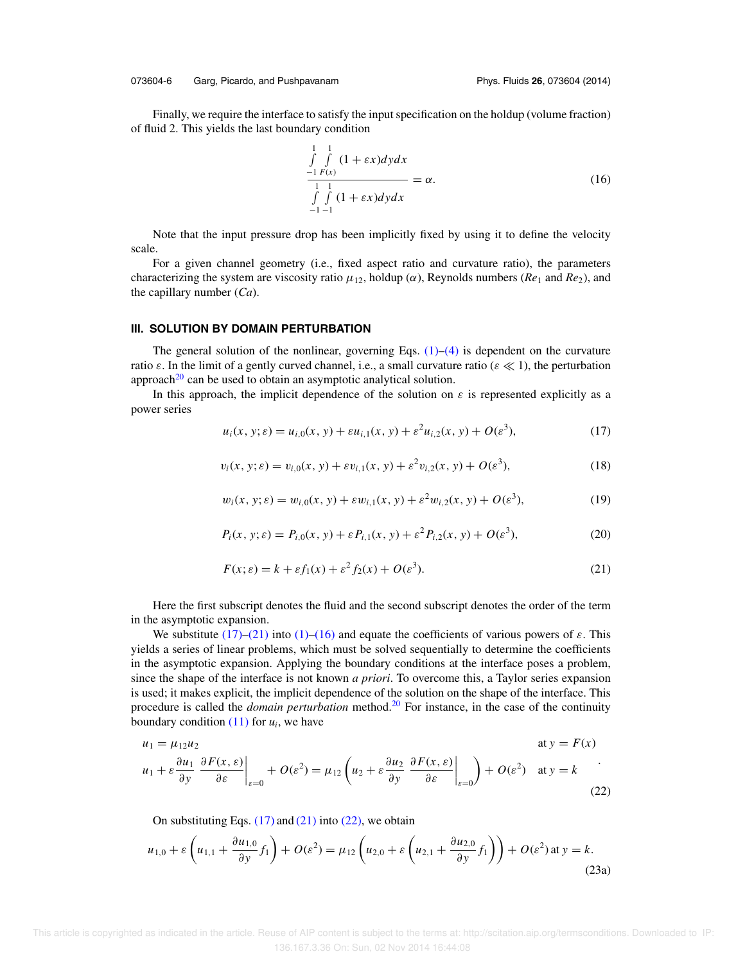Finally, we require the interface to satisfy the input specification on the holdup (volume fraction) of fluid 2. This yields the last boundary condition

$$
\frac{\int_{-1}^{1} \int_{-1}^{1} (1 + \varepsilon x) dy dx}{\int_{-1}^{1} \int_{-1}^{1} (1 + \varepsilon x) dy dx} = \alpha.
$$
\n(16)

Note that the input pressure drop has been implicitly fixed by using it to define the velocity scale.

For a given channel geometry (i.e., fixed aspect ratio and curvature ratio), the parameters characterizing the system are viscosity ratio  $\mu_{12}$ , holdup ( $\alpha$ ), Reynolds numbers ( $Re_1$  and  $Re_2$ ), and the capillary number (*Ca*).

## **III. SOLUTION BY DOMAIN PERTURBATION**

The general solution of the nonlinear, governing Eqs.  $(1)$ – $(4)$  is dependent on the curvature ratio ε. In the limit of a gently curved channel, i.e., a small curvature ratio (ε  $\ll$  1), the perturbation approach<sup>20</sup> can be used to obtain an asymptotic analytical solution.

In this approach, the implicit dependence of the solution on  $\varepsilon$  is represented explicitly as a power series

$$
u_i(x, y; \varepsilon) = u_{i,0}(x, y) + \varepsilon u_{i,1}(x, y) + \varepsilon^2 u_{i,2}(x, y) + O(\varepsilon^3),
$$
\n(17)

$$
v_i(x, y; \varepsilon) = v_{i,0}(x, y) + \varepsilon v_{i,1}(x, y) + \varepsilon^2 v_{i,2}(x, y) + O(\varepsilon^3),
$$
\n(18)

$$
w_i(x, y; \varepsilon) = w_{i,0}(x, y) + \varepsilon w_{i,1}(x, y) + \varepsilon^2 w_{i,2}(x, y) + O(\varepsilon^3),
$$
\n(19)

$$
P_i(x, y; \varepsilon) = P_{i,0}(x, y) + \varepsilon P_{i,1}(x, y) + \varepsilon^2 P_{i,2}(x, y) + O(\varepsilon^3),
$$
 (20)

$$
F(x; \varepsilon) = k + \varepsilon f_1(x) + \varepsilon^2 f_2(x) + O(\varepsilon^3). \tag{21}
$$

Here the first subscript denotes the fluid and the second subscript denotes the order of the term in the asymptotic expansion.

We substitute (17)–(21) into (1)–(16) and equate the coefficients of various powers of  $\varepsilon$ . This yields a series of linear problems, which must be solved sequentially to determine the coefficients in the asymptotic expansion. Applying the boundary conditions at the interface poses a problem, since the shape of the interface is not known *a priori*. To overcome this, a Taylor series expansion is used; it makes explicit, the implicit dependence of the solution on the shape of the interface. This procedure is called the *domain perturbation* method.<sup>20</sup> For instance, in the case of the continuity boundary condition  $(11)$  for  $u_i$ , we have

$$
u_1 = \mu_{12} u_2 \quad \text{at } y = F(x)
$$
  
\n
$$
u_1 + \varepsilon \frac{\partial u_1}{\partial y} \frac{\partial F(x, \varepsilon)}{\partial \varepsilon} \bigg|_{\varepsilon=0} + O(\varepsilon^2) = \mu_{12} \left( u_2 + \varepsilon \frac{\partial u_2}{\partial y} \frac{\partial F(x, \varepsilon)}{\partial \varepsilon} \bigg|_{\varepsilon=0} \right) + O(\varepsilon^2) \quad \text{at } y = k
$$
\n(22)

On substituting Eqs.  $(17)$  and  $(21)$  into  $(22)$ , we obtain

$$
u_{1,0} + \varepsilon \left( u_{1,1} + \frac{\partial u_{1,0}}{\partial y} f_1 \right) + O(\varepsilon^2) = \mu_{12} \left( u_{2,0} + \varepsilon \left( u_{2,1} + \frac{\partial u_{2,0}}{\partial y} f_1 \right) \right) + O(\varepsilon^2) \text{ at } y = k. \tag{23a}
$$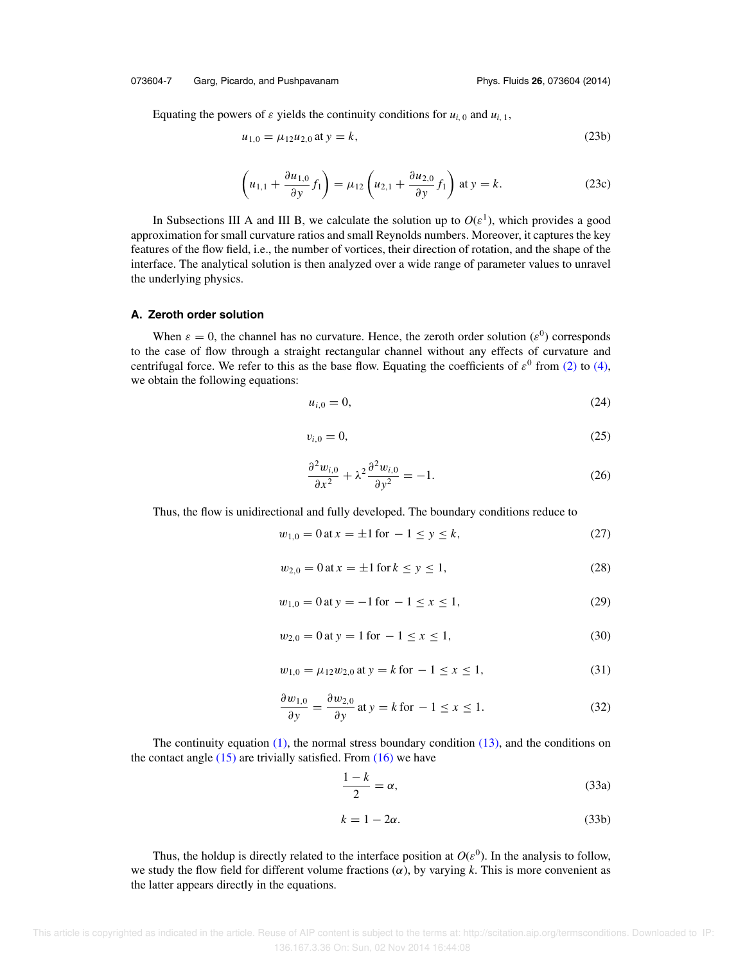Equating the powers of  $\varepsilon$  yields the continuity conditions for  $u_{i,0}$  and  $u_{i,1}$ ,

$$
u_{1,0} = \mu_{12} u_{2,0} \text{ at } y = k,
$$
 (23b)

$$
\left(u_{1,1} + \frac{\partial u_{1,0}}{\partial y} f_1\right) = \mu_{12} \left(u_{2,1} + \frac{\partial u_{2,0}}{\partial y} f_1\right) \text{ at } y = k. \tag{23c}
$$

In Subsections III A and III B, we calculate the solution up to  $O(\varepsilon^1)$ , which provides a good approximation for small curvature ratios and small Reynolds numbers. Moreover, it captures the key features of the flow field, i.e., the number of vortices, their direction of rotation, and the shape of the interface. The analytical solution is then analyzed over a wide range of parameter values to unravel the underlying physics.

# **A. Zeroth order solution**

When  $\varepsilon = 0$ , the channel has no curvature. Hence, the zeroth order solution ( $\varepsilon^0$ ) corresponds to the case of flow through a straight rectangular channel without any effects of curvature and centrifugal force. We refer to this as the base flow. Equating the coefficients of  $\varepsilon^0$  from (2) to (4), we obtain the following equations:

$$
u_{i,0} = 0,\t\t(24)
$$

$$
v_{i,0}=0,\t\t(25)
$$

$$
\frac{\partial^2 w_{i,0}}{\partial x^2} + \lambda^2 \frac{\partial^2 w_{i,0}}{\partial y^2} = -1.
$$
 (26)

Thus, the flow is unidirectional and fully developed. The boundary conditions reduce to

$$
w_{1,0} = 0 \text{ at } x = \pm 1 \text{ for } -1 \le y \le k,
$$
 (27)

$$
w_{2,0} = 0 \text{ at } x = \pm 1 \text{ for } k \le y \le 1,
$$
 (28)

$$
w_{1,0} = 0 \text{ at } y = -1 \text{ for } -1 \le x \le 1,
$$
 (29)

$$
w_{2,0} = 0 \text{ at } y = 1 \text{ for } -1 \le x \le 1,
$$
 (30)

$$
w_{1,0} = \mu_{12} w_{2,0} \text{ at } y = k \text{ for } -1 \le x \le 1,
$$
 (31)

$$
\frac{\partial w_{1,0}}{\partial y} = \frac{\partial w_{2,0}}{\partial y} \text{ at } y = k \text{ for } -1 \le x \le 1.
$$
 (32)

The continuity equation  $(1)$ , the normal stress boundary condition  $(13)$ , and the conditions on the contact angle  $(15)$  are trivially satisfied. From  $(16)$  we have

$$
\frac{1-k}{2} = \alpha,\tag{33a}
$$

$$
k = 1 - 2\alpha. \tag{33b}
$$

Thus, the holdup is directly related to the interface position at  $O(\varepsilon^0)$ . In the analysis to follow, we study the flow field for different volume fractions  $(\alpha)$ , by varying *k*. This is more convenient as the latter appears directly in the equations.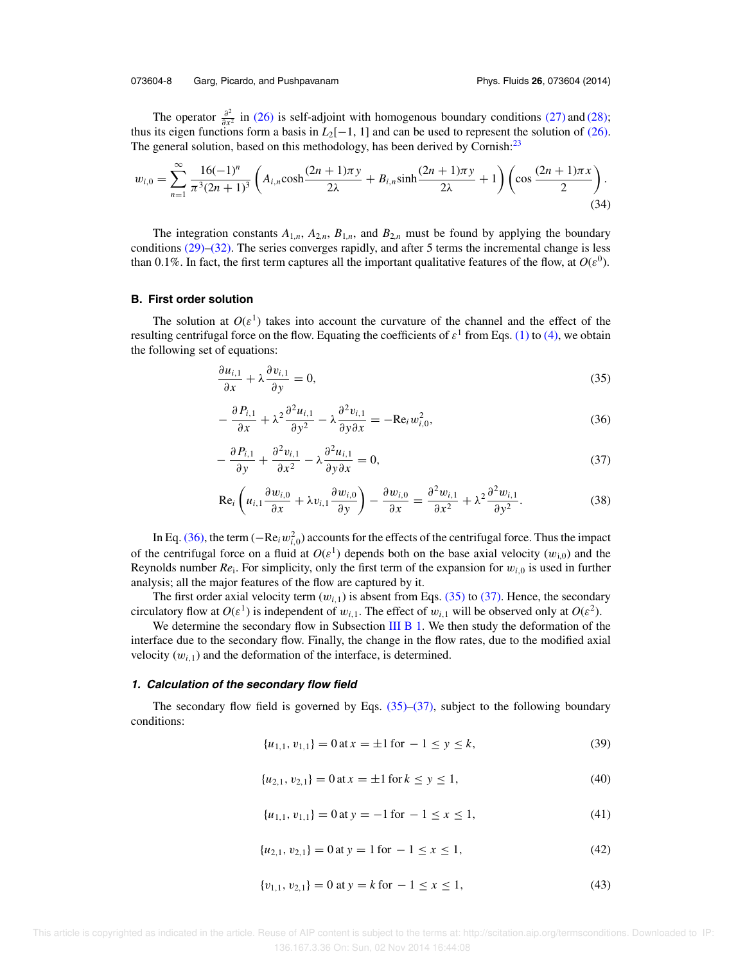The operator  $\frac{\partial^2}{\partial x^2}$  $\frac{\partial^2}{\partial x^2}$  in (26) is self-adjoint with homogenous boundary conditions (27) and (28); thus its eigen functions form a basis in  $L_2[-1, 1]$  and can be used to represent the solution of (26). The general solution, based on this methodology, has been derived by Cornish.<sup>23</sup>

$$
w_{i,0} = \sum_{n=1}^{\infty} \frac{16(-1)^n}{\pi^3 (2n+1)^3} \left( A_{i,n} \cosh \frac{(2n+1)\pi y}{2\lambda} + B_{i,n} \sinh \frac{(2n+1)\pi y}{2\lambda} + 1 \right) \left( \cos \frac{(2n+1)\pi x}{2} \right).
$$
\n(34)

The integration constants  $A_{1,n}$ ,  $A_{2,n}$ ,  $B_{1,n}$ , and  $B_{2,n}$  must be found by applying the boundary conditions (29)–(32). The series converges rapidly, and after 5 terms the incremental change is less than 0.1%. In fact, the first term captures all the important qualitative features of the flow, at  $O(\varepsilon^0)$ .

# **B. First order solution**

The solution at  $O(\varepsilon^1)$  takes into account the curvature of the channel and the effect of the resulting centrifugal force on the flow. Equating the coefficients of  $\varepsilon^1$  from Eqs. (1) to (4), we obtain the following set of equations:

$$
\frac{\partial u_{i,1}}{\partial x} + \lambda \frac{\partial v_{i,1}}{\partial y} = 0,\tag{35}
$$

$$
-\frac{\partial P_{i,1}}{\partial x} + \lambda^2 \frac{\partial^2 u_{i,1}}{\partial y^2} - \lambda \frac{\partial^2 v_{i,1}}{\partial y \partial x} = -\text{Re}_i w_{i,0}^2,\tag{36}
$$

$$
-\frac{\partial P_{i,1}}{\partial y} + \frac{\partial^2 v_{i,1}}{\partial x^2} - \lambda \frac{\partial^2 u_{i,1}}{\partial y \partial x} = 0, \tag{37}
$$

$$
\operatorname{Re}_i \left( u_{i,1} \frac{\partial w_{i,0}}{\partial x} + \lambda v_{i,1} \frac{\partial w_{i,0}}{\partial y} \right) - \frac{\partial w_{i,0}}{\partial x} = \frac{\partial^2 w_{i,1}}{\partial x^2} + \lambda^2 \frac{\partial^2 w_{i,1}}{\partial y^2}.
$$
 (38)

In Eq. (36), the term ( $-Re_iw_{i,0}^2$ ) accounts for the effects of the centrifugal force. Thus the impact of the centrifugal force on a fluid at  $O(\varepsilon^1)$  depends both on the base axial velocity  $(w_{i,0})$  and the Reynolds number  $Re_i$ . For simplicity, only the first term of the expansion for  $w_{i,0}$  is used in further analysis; all the major features of the flow are captured by it.

The first order axial velocity term  $(w_{i,1})$  is absent from Eqs. (35) to (37). Hence, the secondary circulatory flow at  $O(\varepsilon^1)$  is independent of  $w_{i,1}$ . The effect of  $w_{i,1}$  will be observed only at  $O(\varepsilon^2)$ .

We determine the secondary flow in Subsection III B 1. We then study the deformation of the interface due to the secondary flow. Finally, the change in the flow rates, due to the modified axial velocity  $(w_{i,1})$  and the deformation of the interface, is determined.

#### **1. Calculation of the secondary flow field**

The secondary flow field is governed by Eqs.  $(35)$ – $(37)$ , subject to the following boundary conditions:

$$
\{u_{1,1}, v_{1,1}\} = 0 \text{ at } x = \pm 1 \text{ for } -1 \le y \le k,
$$
\n(39)

$$
\{u_{2,1}, v_{2,1}\} = 0 \text{ at } x = \pm 1 \text{ for } k \le y \le 1,\tag{40}
$$

$$
\{u_{1,1}, v_{1,1}\} = 0 \text{ at } y = -1 \text{ for } -1 \le x \le 1,\tag{41}
$$

$$
\{u_{2,1}, v_{2,1}\} = 0 \text{ at } y = 1 \text{ for } -1 \le x \le 1,\tag{42}
$$

$$
\{v_{1,1}, v_{2,1}\} = 0 \text{ at } y = k \text{ for } -1 \le x \le 1,\tag{43}
$$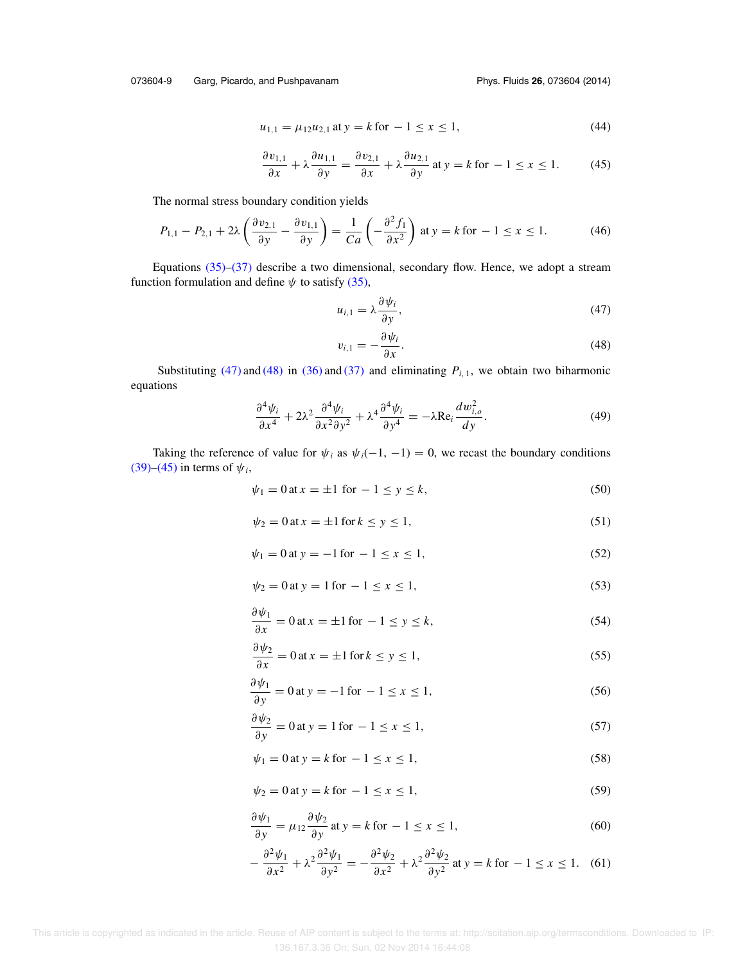$$
u_{1,1} = \mu_{12} u_{2,1} \text{ at } y = k \text{ for } -1 \le x \le 1,
$$
 (44)

$$
\frac{\partial v_{1,1}}{\partial x} + \lambda \frac{\partial u_{1,1}}{\partial y} = \frac{\partial v_{2,1}}{\partial x} + \lambda \frac{\partial u_{2,1}}{\partial y} \text{ at } y = k \text{ for } -1 \le x \le 1. \tag{45}
$$

The normal stress boundary condition yields

$$
P_{1,1} - P_{2,1} + 2\lambda \left(\frac{\partial v_{2,1}}{\partial y} - \frac{\partial v_{1,1}}{\partial y}\right) = \frac{1}{Ca} \left(-\frac{\partial^2 f_1}{\partial x^2}\right) \text{ at } y = k \text{ for } -1 \le x \le 1. \tag{46}
$$

Equations (35)–(37) describe a two dimensional, secondary flow. Hence, we adopt a stream function formulation and define  $\psi$  to satisfy (35),

$$
u_{i,1} = \lambda \frac{\partial \psi_i}{\partial y},\tag{47}
$$

$$
v_{i,1} = -\frac{\partial \psi_i}{\partial x}.\tag{48}
$$

Substituting (47) and (48) in (36) and (37) and eliminating  $P_{i, 1}$ , we obtain two biharmonic equations

$$
\frac{\partial^4 \psi_i}{\partial x^4} + 2\lambda^2 \frac{\partial^4 \psi_i}{\partial x^2 \partial y^2} + \lambda^4 \frac{\partial^4 \psi_i}{\partial y^4} = -\lambda \text{Re}_i \frac{d w_{i,o}^2}{dy}.
$$
\n(49)

Taking the reference of value for  $\psi_i$  as  $\psi_i(-1, -1) = 0$ , we recast the boundary conditions  $(39)$ – $(45)$  in terms of  $\psi_i$ ,

$$
\psi_1 = 0 \text{ at } x = \pm 1 \text{ for } -1 \le y \le k,
$$
\n(50)

$$
\psi_2 = 0 \text{ at } x = \pm 1 \text{ for } k \le y \le 1,
$$
\n(51)

$$
\psi_1 = 0 \text{ at } y = -1 \text{ for } -1 \le x \le 1,
$$
\n(52)

$$
\psi_2 = 0 \text{ at } y = 1 \text{ for } -1 \le x \le 1,
$$
\n(53)

$$
\frac{\partial \psi_1}{\partial x} = 0 \text{ at } x = \pm 1 \text{ for } -1 \le y \le k,
$$
 (54)

$$
\frac{\partial \psi_2}{\partial x} = 0 \text{ at } x = \pm 1 \text{ for } k \le y \le 1,
$$
 (55)

$$
\frac{\partial \psi_1}{\partial y} = 0 \text{ at } y = -1 \text{ for } -1 \le x \le 1,
$$
 (56)

$$
\frac{\partial \psi_2}{\partial y} = 0 \text{ at } y = 1 \text{ for } -1 \le x \le 1,
$$
\n(57)

$$
\psi_1 = 0 \text{ at } y = k \text{ for } -1 \le x \le 1,
$$
\n(58)

$$
\psi_2 = 0 \text{ at } y = k \text{ for } -1 \le x \le 1,
$$
\n(59)

$$
\frac{\partial \psi_1}{\partial y} = \mu_{12} \frac{\partial \psi_2}{\partial y} \text{ at } y = k \text{ for } -1 \le x \le 1,
$$
 (60)

$$
-\frac{\partial^2 \psi_1}{\partial x^2} + \lambda^2 \frac{\partial^2 \psi_1}{\partial y^2} = -\frac{\partial^2 \psi_2}{\partial x^2} + \lambda^2 \frac{\partial^2 \psi_2}{\partial y^2} \text{ at } y = k \text{ for } -1 \le x \le 1. \tag{61}
$$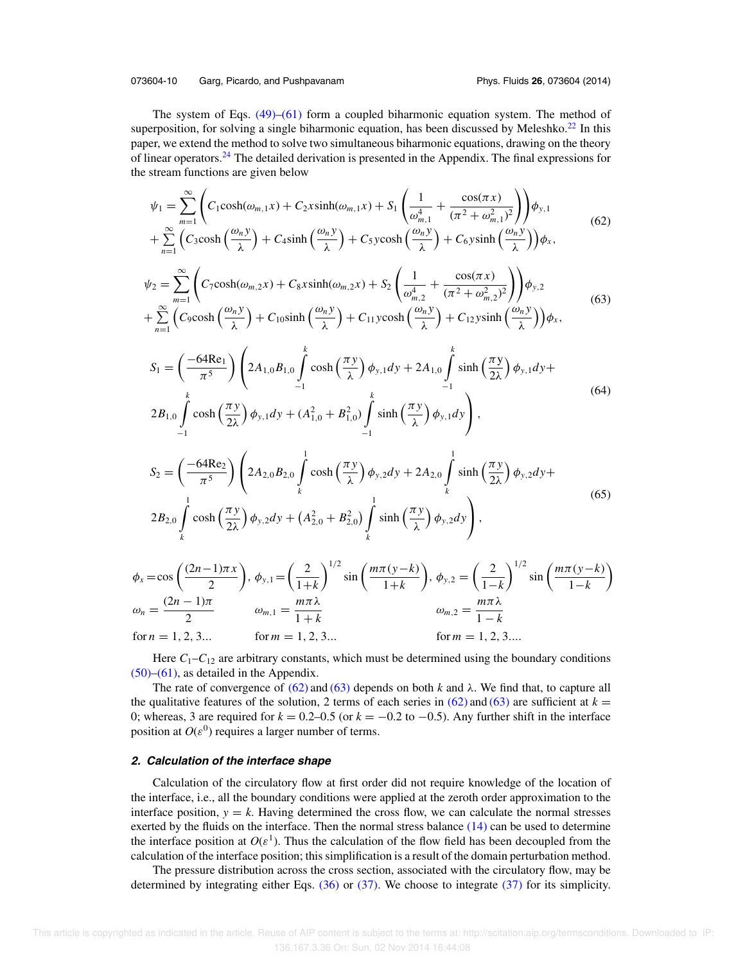073604-10 Garg, Picardo, and Pushpavanam Phys. Fluids **26**, 073604 (2014)

The system of Eqs. (49)–(61) form a coupled biharmonic equation system. The method of superposition, for solving a single biharmonic equation, has been discussed by Meleshko.<sup>22</sup> In this paper, we extend the method to solve two simultaneous biharmonic equations, drawing on the theory of linear operators.<sup>24</sup> The detailed derivation is presented in the Appendix. The final expressions for the stream functions are given below

$$
\psi_1 = \sum_{m=1}^{\infty} \left( C_1 \cosh(\omega_{m,1}x) + C_2 x \sinh(\omega_{m,1}x) + S_1 \left( \frac{1}{\omega_{m,1}^4} + \frac{\cos(\pi x)}{(\pi^2 + \omega_{m,1}^2)^2} \right) \right) \phi_{y,1}
$$
  
+ 
$$
\sum_{n=1}^{\infty} \left( C_3 \cosh\left(\frac{\omega_n y}{\lambda}\right) + C_4 \sinh\left(\frac{\omega_n y}{\lambda}\right) + C_5 y \cosh\left(\frac{\omega_n y}{\lambda}\right) + C_6 y \sinh\left(\frac{\omega_n y}{\lambda}\right) \right) \phi_x,
$$
 (62)

$$
\psi_2 = \sum_{m=1}^{\infty} \left( C_7 \cosh(\omega_{m,2} x) + C_8 x \sinh(\omega_{m,2} x) + S_2 \left( \frac{1}{\omega_{m,2}^4} + \frac{\cos(\pi x)}{(\pi^2 + \omega_{m,2}^2)^2} \right) \right) \phi_{y,2} + \sum_{n=1}^{\infty} \left( C_9 \cosh\left(\frac{\omega_n y}{\lambda}\right) + C_{10} \sinh\left(\frac{\omega_n y}{\lambda}\right) + C_{11} y \cosh\left(\frac{\omega_n y}{\lambda}\right) + C_{12} y \sinh\left(\frac{\omega_n y}{\lambda}\right) \right) \phi_x,
$$
(63)

$$
S_{1} = \left(\frac{-64\text{Re}_1}{\pi^5}\right) \left(2A_{1,0}B_{1,0}\int_{-1}^{k}\cosh\left(\frac{\pi y}{\lambda}\right)\phi_{y,1}dy + 2A_{1,0}\int_{-1}^{k}\sinh\left(\frac{\pi y}{2\lambda}\right)\phi_{y,1}dy + 2B_{1,0}\int_{-1}^{k}\cosh\left(\frac{\pi y}{2\lambda}\right)\phi_{y,1}dy + (A_{1,0}^2 + B_{1,0}^2)\int_{-1}^{k}\sinh\left(\frac{\pi y}{\lambda}\right)\phi_{y,1}dy\right),
$$
\n(64)

$$
S_2 = \left(\frac{-64\text{Re}_2}{\pi^5}\right) \left(2A_{2,0}B_{2,0}\int_k^1 \cosh\left(\frac{\pi y}{\lambda}\right)\phi_{y,2}dy + 2A_{2,0}\int_k^1 \sinh\left(\frac{\pi y}{2\lambda}\right)\phi_{y,2}dy + 2B_{2,0}\int_k^1 \cosh\left(\frac{\pi y}{2\lambda}\right)\phi_{y,2}dy + (A_{2,0}^2 + B_{2,0}^2)\int_k^1 \sinh\left(\frac{\pi y}{\lambda}\right)\phi_{y,2}dy\right),\tag{65}
$$

$$
\phi_x = \cos\left(\frac{(2n-1)\pi x}{2}\right), \ \phi_{y,1} = \left(\frac{2}{1+k}\right)^{1/2} \sin\left(\frac{m\pi (y-k)}{1+k}\right), \ \phi_{y,2} = \left(\frac{2}{1-k}\right)^{1/2} \sin\left(\frac{m\pi (y-k)}{1-k}\right)
$$
\n
$$
\omega_n = \frac{(2n-1)\pi}{2} \qquad \omega_{m,1} = \frac{m\pi \lambda}{1+k} \qquad \omega_{m,2} = \frac{m\pi \lambda}{1-k}
$$
\nfor  $n = 1, 2, 3...$  for  $m = 1, 2, 3...$  for  $m = 1, 2, 3...$ 

Here  $C_1 - C_{12}$  are arbitrary constants, which must be determined using the boundary conditions  $(50)$ – $(61)$ , as detailed in the Appendix.

The rate of convergence of  $(62)$  and  $(63)$  depends on both *k* and  $\lambda$ . We find that, to capture all the qualitative features of the solution, 2 terms of each series in  $(62)$  and  $(63)$  are sufficient at  $k =$ 0; whereas, 3 are required for  $k = 0.2{\text{-}}0.5$  (or  $k = -0.2$  to  $-0.5$ ). Any further shift in the interface position at  $O(\varepsilon^0)$  requires a larger number of terms.

## **2. Calculation of the interface shape**

Calculation of the circulatory flow at first order did not require knowledge of the location of the interface, i.e., all the boundary conditions were applied at the zeroth order approximation to the interface position,  $y = k$ . Having determined the cross flow, we can calculate the normal stresses exerted by the fluids on the interface. Then the normal stress balance (14) can be used to determine the interface position at  $O(\varepsilon^1)$ . Thus the calculation of the flow field has been decoupled from the calculation of the interface position; this simplification is a result of the domain perturbation method.

The pressure distribution across the cross section, associated with the circulatory flow, may be determined by integrating either Eqs. (36) or (37). We choose to integrate (37) for its simplicity.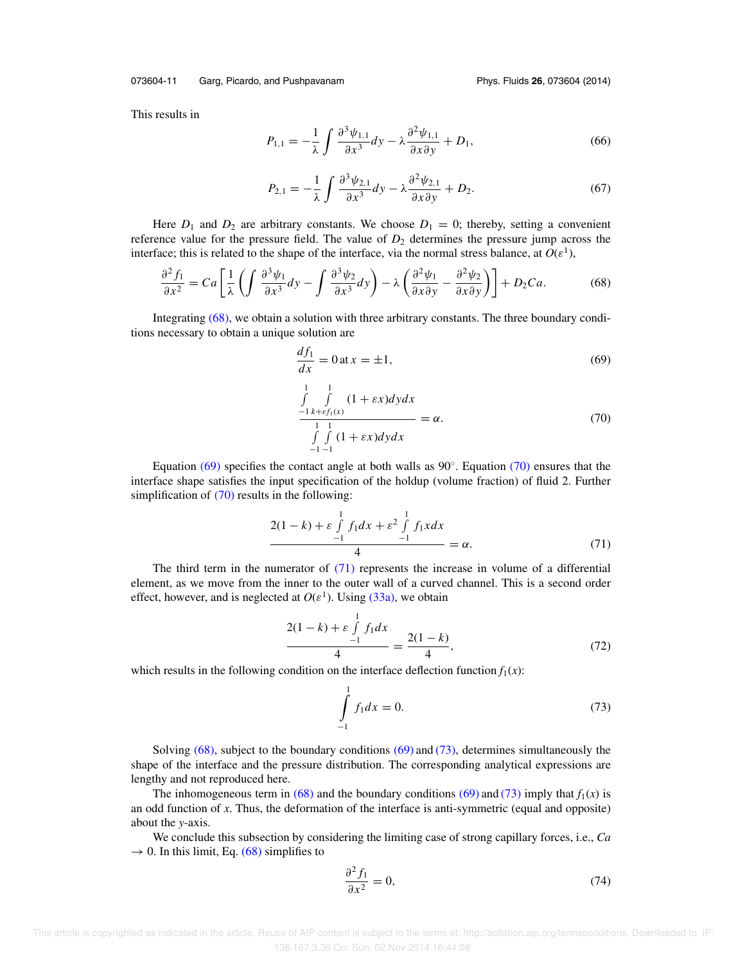073604-11 Garg, Picardo, and Pushpavanam Phys. Fluids **26**, 073604 (2014)

This results in

$$
P_{1,1} = -\frac{1}{\lambda} \int \frac{\partial^3 \psi_{1,1}}{\partial x^3} dy - \lambda \frac{\partial^2 \psi_{1,1}}{\partial x \partial y} + D_1,\tag{66}
$$

$$
P_{2,1} = -\frac{1}{\lambda} \int \frac{\partial^3 \psi_{2,1}}{\partial x^3} dy - \lambda \frac{\partial^2 \psi_{2,1}}{\partial x \partial y} + D_2. \tag{67}
$$

Here  $D_1$  and  $D_2$  are arbitrary constants. We choose  $D_1 = 0$ ; thereby, setting a convenient reference value for the pressure field. The value of  $D<sub>2</sub>$  determines the pressure jump across the interface; this is related to the shape of the interface, via the normal stress balance, at  $O(\varepsilon^1)$ ,

$$
\frac{\partial^2 f_1}{\partial x^2} = Ca \left[ \frac{1}{\lambda} \left( \int \frac{\partial^3 \psi_1}{\partial x^3} dy - \int \frac{\partial^3 \psi_2}{\partial x^3} dy \right) - \lambda \left( \frac{\partial^2 \psi_1}{\partial x \partial y} - \frac{\partial^2 \psi_2}{\partial x \partial y} \right) \right] + D_2 Ca. \tag{68}
$$

Integrating (68), we obtain a solution with three arbitrary constants. The three boundary conditions necessary to obtain a unique solution are

$$
\frac{df_1}{dx} = 0 \text{ at } x = \pm 1,
$$
\n(69)

$$
\frac{\int_{-1}^{1} \int_{k+\varepsilon f_1(x)} (1+\varepsilon x) dy dx}{\int_{-1}^{1} \int_{-1}^{1} (1+\varepsilon x) dy dx} = \alpha.
$$
\n(70)

Equation (69) specifies the contact angle at both walls as  $90^\circ$ . Equation (70) ensures that the interface shape satisfies the input specification of the holdup (volume fraction) of fluid 2. Further simplification of  $(70)$  results in the following:

$$
\frac{2(1-k)+\varepsilon\int_{-1}^{1}f_1dx+\varepsilon^2\int_{-1}^{1}f_1xdx}{4}=\alpha.
$$
 (71)

The third term in the numerator of  $(71)$  represents the increase in volume of a differential element, as we move from the inner to the outer wall of a curved channel. This is a second order effect, however, and is neglected at  $O(\varepsilon^1)$ . Using (33a), we obtain

$$
\frac{2(1-k)+\varepsilon\int_{-1}^{1}f_1dx}{4} = \frac{2(1-k)}{4},
$$
\n(72)

which results in the following condition on the interface deflection function  $f_1(x)$ :

$$
\int_{-1}^{1} f_1 dx = 0.
$$
\n(73)

Solving (68), subject to the boundary conditions (69) and (73), determines simultaneously the shape of the interface and the pressure distribution. The corresponding analytical expressions are lengthy and not reproduced here.

The inhomogeneous term in (68) and the boundary conditions (69) and (73) imply that  $f_1(x)$  is an odd function of *x*. Thus, the deformation of the interface is anti-symmetric (equal and opposite) about the *y*-axis.

We conclude this subsection by considering the limiting case of strong capillary forces, i.e., *Ca*  $\rightarrow$  0. In this limit, Eq. (68) simplifies to

$$
\frac{\partial^2 f_1}{\partial x^2} = 0,\tag{74}
$$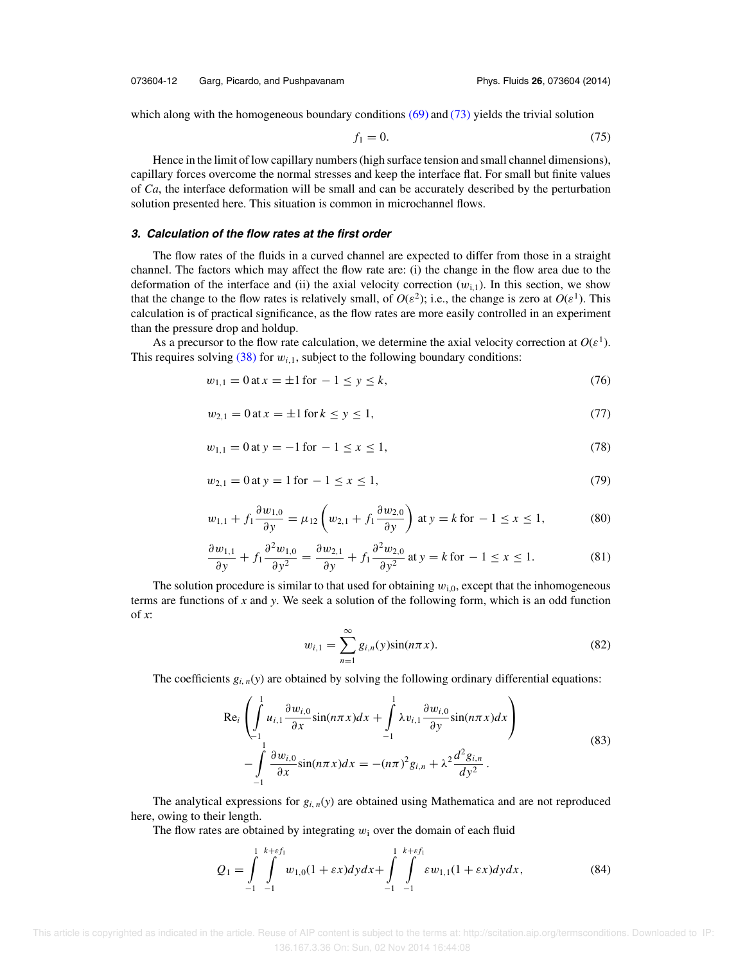which along with the homogeneous boundary conditions (69) and (73) yields the trivial solution

$$
f_1 = 0.\t\t(75)
$$

Hence in the limit of low capillary numbers (high surface tension and small channel dimensions), capillary forces overcome the normal stresses and keep the interface flat. For small but finite values of *Ca*, the interface deformation will be small and can be accurately described by the perturbation solution presented here. This situation is common in microchannel flows.

## **3. Calculation of the flow rates at the first order**

The flow rates of the fluids in a curved channel are expected to differ from those in a straight channel. The factors which may affect the flow rate are: (i) the change in the flow area due to the deformation of the interface and (ii) the axial velocity correction  $(w_{i,1})$ . In this section, we show that the change to the flow rates is relatively small, of  $O(\varepsilon^2)$ ; i.e., the change is zero at  $O(\varepsilon^1)$ . This calculation is of practical significance, as the flow rates are more easily controlled in an experiment than the pressure drop and holdup.

As a precursor to the flow rate calculation, we determine the axial velocity correction at  $O(\varepsilon^1)$ . This requires solving  $(38)$  for  $w_{i,1}$ , subject to the following boundary conditions:

$$
w_{1,1} = 0 \text{ at } x = \pm 1 \text{ for } -1 \le y \le k,
$$
 (76)

$$
w_{2,1} = 0 \text{ at } x = \pm 1 \text{ for } k \le y \le 1,
$$
 (77)

$$
w_{1,1} = 0 \text{ at } y = -1 \text{ for } -1 \le x \le 1,
$$
 (78)

$$
w_{2,1} = 0 \text{ at } y = 1 \text{ for } -1 \le x \le 1,
$$
 (79)

$$
w_{1,1} + f_1 \frac{\partial w_{1,0}}{\partial y} = \mu_{12} \left( w_{2,1} + f_1 \frac{\partial w_{2,0}}{\partial y} \right) \text{ at } y = k \text{ for } -1 \le x \le 1,
$$
 (80)

$$
\frac{\partial w_{1,1}}{\partial y} + f_1 \frac{\partial^2 w_{1,0}}{\partial y^2} = \frac{\partial w_{2,1}}{\partial y} + f_1 \frac{\partial^2 w_{2,0}}{\partial y^2} \text{ at } y = k \text{ for } -1 \le x \le 1. \tag{81}
$$

The solution procedure is similar to that used for obtaining  $w_{i,0}$ , except that the inhomogeneous terms are functions of *x* and *y*. We seek a solution of the following form, which is an odd function of *x*:

$$
w_{i,1} = \sum_{n=1}^{\infty} g_{i,n}(y) \sin(n\pi x).
$$
 (82)

The coefficients  $g_{i,n}(y)$  are obtained by solving the following ordinary differential equations:

$$
\operatorname{Re}_{i}\left(\int_{-1}^{1} u_{i,1} \frac{\partial w_{i,0}}{\partial x} \sin(n\pi x) dx + \int_{-1}^{1} \lambda v_{i,1} \frac{\partial w_{i,0}}{\partial y} \sin(n\pi x) dx\right) -\int_{-1}^{1} \frac{\partial w_{i,0}}{\partial x} \sin(n\pi x) dx = -(n\pi)^{2} g_{i,n} + \lambda^{2} \frac{d^{2} g_{i,n}}{dy^{2}}.
$$
\n(83)

The analytical expressions for *g<sup>i</sup>*, *<sup>n</sup>*(*y*) are obtained using Mathematica and are not reproduced here, owing to their length.

The flow rates are obtained by integrating  $w_i$  over the domain of each fluid

$$
Q_1 = \int_{-1}^{1} \int_{-1}^{k+\epsilon f_1} w_{1,0}(1+\epsilon x) dy dx + \int_{-1}^{1} \int_{-1}^{k+\epsilon f_1} \epsilon w_{1,1}(1+\epsilon x) dy dx, \qquad (84)
$$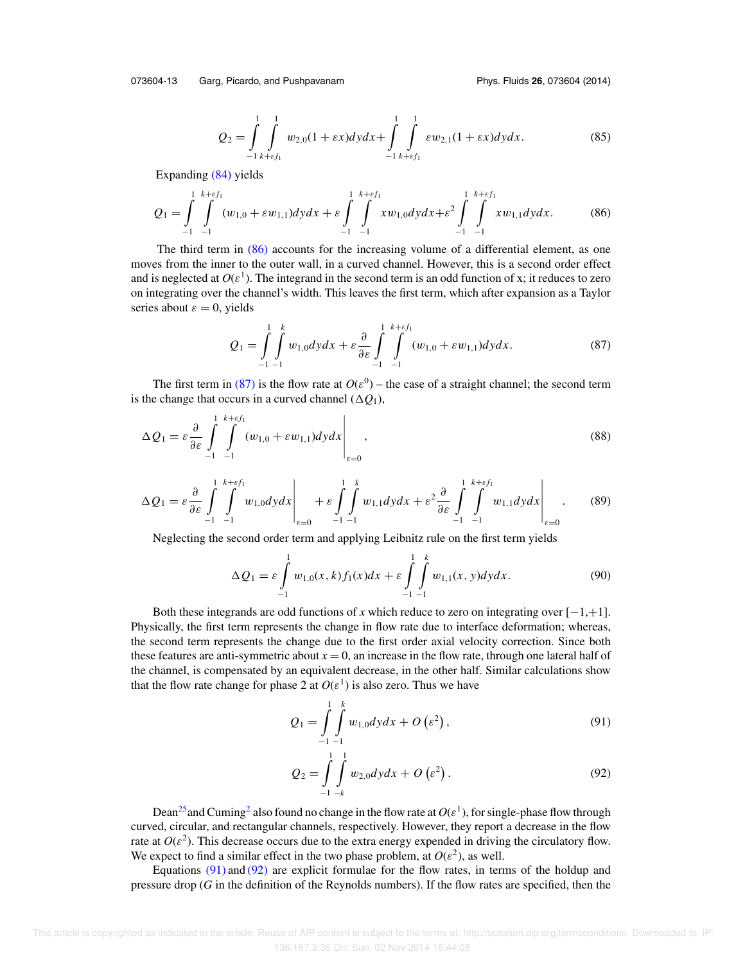073604-13 Garg, Picardo, and Pushpavanam Phys. Fluids **26**, 073604 (2014)

$$
Q_2 = \int_{-1}^{1} \int_{k+\varepsilon f_1}^{1} w_{2,0}(1+\varepsilon x) dy dx + \int_{-1}^{1} \int_{k+\varepsilon f_1}^{1} \varepsilon w_{2,1}(1+\varepsilon x) dy dx.
$$
 (85)

Expanding (84) yields

$$
Q_1 = \int_{-1}^{1} \int_{-1}^{k+\varepsilon f_1} (w_{1,0} + \varepsilon w_{1,1}) dy dx + \varepsilon \int_{-1}^{1} \int_{-1}^{k+\varepsilon f_1} x w_{1,0} dy dx + \varepsilon^2 \int_{-1}^{1} \int_{-1}^{k+\varepsilon f_1} x w_{1,1} dy dx.
$$
 (86)

The third term in (86) accounts for the increasing volume of a differential element, as one moves from the inner to the outer wall, in a curved channel. However, this is a second order effect and is neglected at  $O(\varepsilon^1)$ . The integrand in the second term is an odd function of x; it reduces to zero on integrating over the channel's width. This leaves the first term, which after expansion as a Taylor series about  $\varepsilon = 0$ , yields

$$
Q_1 = \int_{-1}^{1} \int_{-1}^{k} w_{1,0} dy dx + \varepsilon \frac{\partial}{\partial \varepsilon} \int_{-1}^{1} \int_{-1}^{k + \varepsilon f_1} (w_{1,0} + \varepsilon w_{1,1}) dy dx.
$$
 (87)

The first term in (87) is the flow rate at  $O(\varepsilon^0)$  – the case of a straight channel; the second term is the change that occurs in a curved channel  $(\Delta Q_1)$ ,

$$
\Delta Q_1 = \varepsilon \frac{\partial}{\partial \varepsilon} \int_{-1}^{1} \int_{-1}^{k + \varepsilon f_1} (w_{1,0} + \varepsilon w_{1,1}) dy dx \Bigg|_{\varepsilon = 0}, \qquad (88)
$$

$$
\Delta Q_1 = \varepsilon \frac{\partial}{\partial \varepsilon} \int_{-1}^{1} \int_{-1}^{k + \varepsilon f_1} w_{1,0} dy dx \Bigg|_{\varepsilon=0} + \varepsilon \int_{-1}^{1} \int_{-1}^{k} w_{1,1} dy dx + \varepsilon^2 \frac{\partial}{\partial \varepsilon} \int_{-1}^{1} \int_{-1}^{k + \varepsilon f_1} w_{1,1} dy dx \Bigg|_{\varepsilon=0}.
$$
 (89)

Neglecting the second order term and applying Leibnitz rule on the first term yields

$$
\Delta Q_1 = \varepsilon \int_{-1}^1 w_{1,0}(x,k) f_1(x) dx + \varepsilon \int_{-1}^1 \int_{-1}^k w_{1,1}(x,y) dy dx.
$$
 (90)

Both these integrands are odd functions of *x* which reduce to zero on integrating over [−1,+1]. Physically, the first term represents the change in flow rate due to interface deformation; whereas, the second term represents the change due to the first order axial velocity correction. Since both these features are anti-symmetric about  $x = 0$ , an increase in the flow rate, through one lateral half of the channel, is compensated by an equivalent decrease, in the other half. Similar calculations show that the flow rate change for phase 2 at  $O(\varepsilon^1)$  is also zero. Thus we have

$$
Q_1 = \int_{-1}^{1} \int_{-1}^{k} w_{1,0} dy dx + O\left(\varepsilon^2\right),\tag{91}
$$

$$
Q_2 = \int_{-1}^{1} \int_{-k}^{1} w_{2,0} dy dx + O\left(\varepsilon^2\right).
$$
 (92)

Dean<sup>25</sup> and Cuming<sup>2</sup> also found no change in the flow rate at  $O(\varepsilon^1)$ , for single-phase flow through curved, circular, and rectangular channels, respectively. However, they report a decrease in the flow rate at  $O(\varepsilon^2)$ . This decrease occurs due to the extra energy expended in driving the circulatory flow. We expect to find a similar effect in the two phase problem, at  $O(\varepsilon^2)$ , as well.

Equations (91) and (92) are explicit formulae for the flow rates, in terms of the holdup and pressure drop (*G* in the definition of the Reynolds numbers). If the flow rates are specified, then the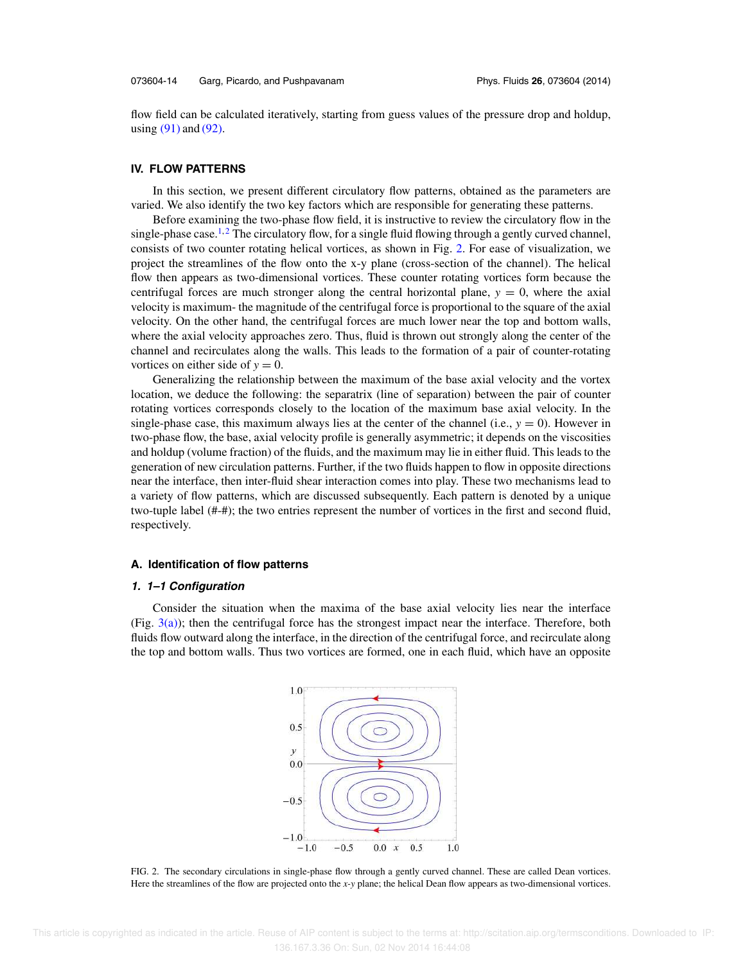flow field can be calculated iteratively, starting from guess values of the pressure drop and holdup, using  $(91)$  and  $(92)$ .

## **IV. FLOW PATTERNS**

In this section, we present different circulatory flow patterns, obtained as the parameters are varied. We also identify the two key factors which are responsible for generating these patterns.

Before examining the two-phase flow field, it is instructive to review the circulatory flow in the single-phase case.<sup>1,2</sup> The circulatory flow, for a single fluid flowing through a gently curved channel, consists of two counter rotating helical vortices, as shown in Fig. 2. For ease of visualization, we project the streamlines of the flow onto the x-y plane (cross-section of the channel). The helical flow then appears as two-dimensional vortices. These counter rotating vortices form because the centrifugal forces are much stronger along the central horizontal plane,  $y = 0$ , where the axial velocity is maximum- the magnitude of the centrifugal force is proportional to the square of the axial velocity. On the other hand, the centrifugal forces are much lower near the top and bottom walls, where the axial velocity approaches zero. Thus, fluid is thrown out strongly along the center of the channel and recirculates along the walls. This leads to the formation of a pair of counter-rotating vortices on either side of  $y = 0$ .

Generalizing the relationship between the maximum of the base axial velocity and the vortex location, we deduce the following: the separatrix (line of separation) between the pair of counter rotating vortices corresponds closely to the location of the maximum base axial velocity. In the single-phase case, this maximum always lies at the center of the channel (i.e.,  $y = 0$ ). However in two-phase flow, the base, axial velocity profile is generally asymmetric; it depends on the viscosities and holdup (volume fraction) of the fluids, and the maximum may lie in either fluid. This leads to the generation of new circulation patterns. Further, if the two fluids happen to flow in opposite directions near the interface, then inter-fluid shear interaction comes into play. These two mechanisms lead to a variety of flow patterns, which are discussed subsequently. Each pattern is denoted by a unique two-tuple label (#-#); the two entries represent the number of vortices in the first and second fluid, respectively.

## **A. Identification of flow patterns**

#### **1. 1–1 Configuration**

Consider the situation when the maxima of the base axial velocity lies near the interface (Fig. 3(a)); then the centrifugal force has the strongest impact near the interface. Therefore, both fluids flow outward along the interface, in the direction of the centrifugal force, and recirculate along the top and bottom walls. Thus two vortices are formed, one in each fluid, which have an opposite



FIG. 2. The secondary circulations in single-phase flow through a gently curved channel. These are called Dean vortices. Here the streamlines of the flow are projected onto the *x-y* plane; the helical Dean flow appears as two-dimensional vortices.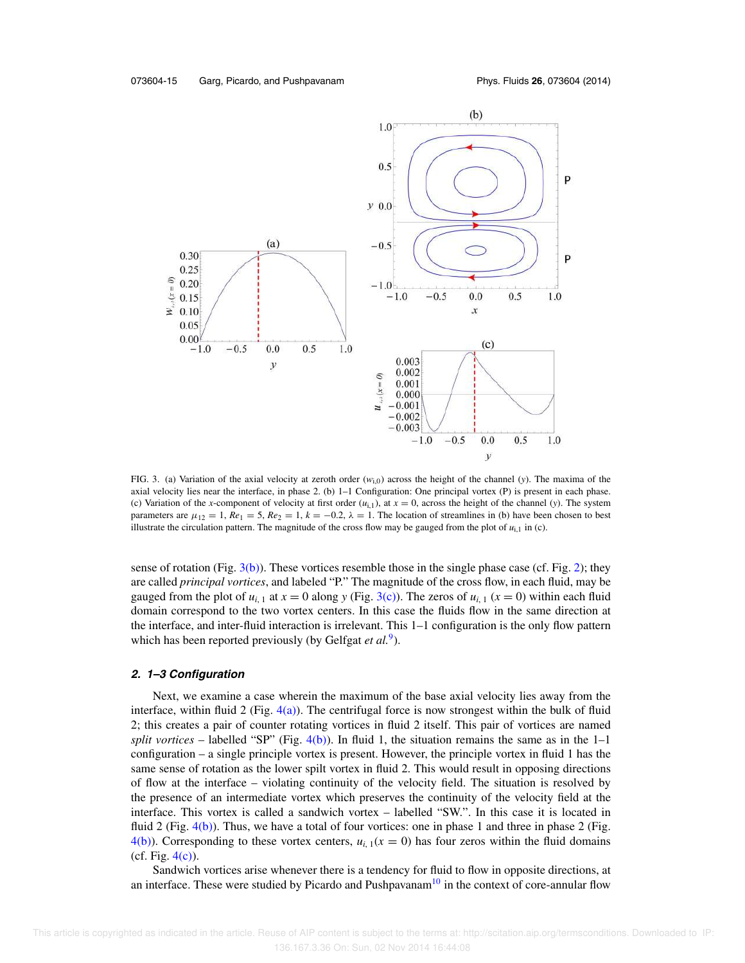

FIG. 3. (a) Variation of the axial velocity at zeroth order (*w*i,0) across the height of the channel (*y*). The maxima of the axial velocity lies near the interface, in phase 2. (b)  $1-1$  Configuration: One principal vortex (P) is present in each phase. (c) Variation of the *x*-component of velocity at first order  $(u_{i,1})$ , at  $x = 0$ , across the height of the channel (*y*). The system parameters are  $\mu_{12} = 1$ ,  $Re_1 = 5$ ,  $Re_2 = 1$ ,  $k = -0.2$ ,  $\lambda = 1$ . The location of streamlines in (b) have been chosen to best illustrate the circulation pattern. The magnitude of the cross flow may be gauged from the plot of  $u_{i,1}$  in (c).

sense of rotation (Fig.  $3(b)$ ). These vortices resemble those in the single phase case (cf. Fig. 2); they are called *principal vortices*, and labeled "P." The magnitude of the cross flow, in each fluid, may be gauged from the plot of  $u_{i,1}$  at  $x = 0$  along  $y$  (Fig. 3(c)). The zeros of  $u_{i,1}$  ( $x = 0$ ) within each fluid domain correspond to the two vortex centers. In this case the fluids flow in the same direction at the interface, and inter-fluid interaction is irrelevant. This 1–1 configuration is the only flow pattern which has been reported previously (by Gelfgat *et al.*<sup>9</sup>).

## **2. 1–3 Configuration**

Next, we examine a case wherein the maximum of the base axial velocity lies away from the interface, within fluid 2 (Fig.  $4(a)$ ). The centrifugal force is now strongest within the bulk of fluid 2; this creates a pair of counter rotating vortices in fluid 2 itself. This pair of vortices are named *split vortices* – labelled "SP" (Fig. 4(b)). In fluid 1, the situation remains the same as in the  $1-1$ configuration – a single principle vortex is present. However, the principle vortex in fluid 1 has the same sense of rotation as the lower spilt vortex in fluid 2. This would result in opposing directions of flow at the interface – violating continuity of the velocity field. The situation is resolved by the presence of an intermediate vortex which preserves the continuity of the velocity field at the interface. This vortex is called a sandwich vortex – labelled "SW.". In this case it is located in fluid 2 (Fig. 4(b)). Thus, we have a total of four vortices: one in phase 1 and three in phase 2 (Fig. 4(b)). Corresponding to these vortex centers,  $u_{i,1}(x = 0)$  has four zeros within the fluid domains  $(cf. Fig. 4(c)).$ 

Sandwich vortices arise whenever there is a tendency for fluid to flow in opposite directions, at an interface. These were studied by Picardo and Pushpavanam<sup>10</sup> in the context of core-annular flow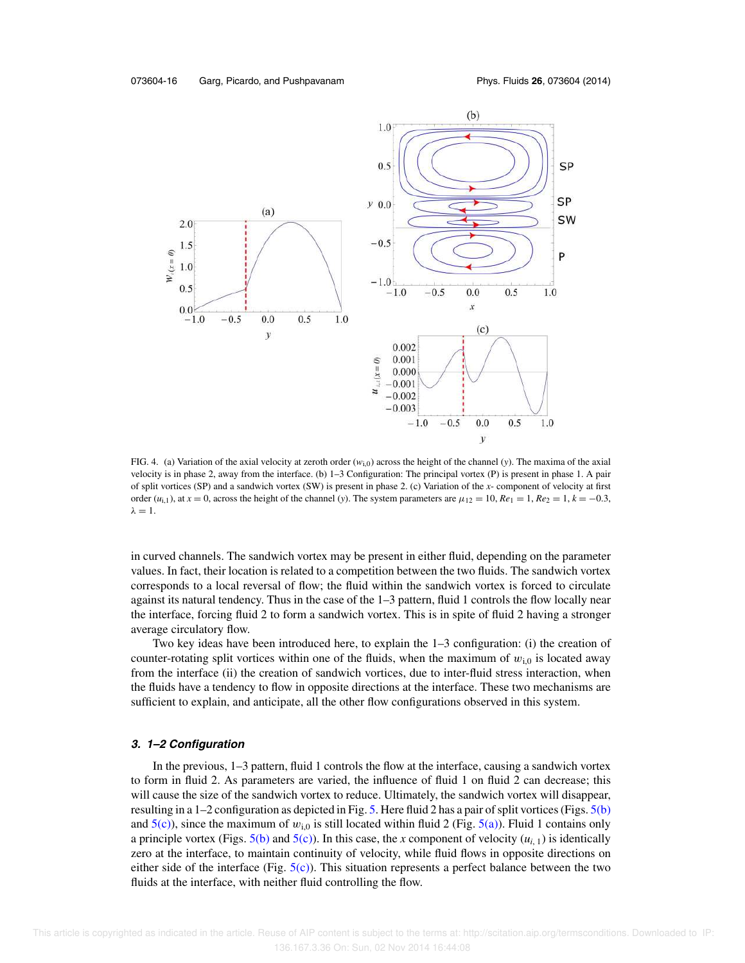

FIG. 4. (a) Variation of the axial velocity at zeroth order (*w*i,0) across the height of the channel (*y*). The maxima of the axial velocity is in phase 2, away from the interface. (b) 1–3 Configuration: The principal vortex (P) is present in phase 1. A pair of split vortices (SP) and a sandwich vortex (SW) is present in phase 2. (c) Variation of the *x*- component of velocity at first order ( $u_{i,1}$ ), at  $x = 0$ , across the height of the channel (*y*). The system parameters are  $\mu_{12} = 10$ ,  $Re_1 = 1$ ,  $Re_2 = 1$ ,  $k = -0.3$ ,  $\lambda = 1$ .

in curved channels. The sandwich vortex may be present in either fluid, depending on the parameter values. In fact, their location is related to a competition between the two fluids. The sandwich vortex corresponds to a local reversal of flow; the fluid within the sandwich vortex is forced to circulate against its natural tendency. Thus in the case of the 1–3 pattern, fluid 1 controls the flow locally near the interface, forcing fluid 2 to form a sandwich vortex. This is in spite of fluid 2 having a stronger average circulatory flow.

Two key ideas have been introduced here, to explain the 1–3 configuration: (i) the creation of counter-rotating split vortices within one of the fluids, when the maximum of  $w_{i0}$  is located away from the interface (ii) the creation of sandwich vortices, due to inter-fluid stress interaction, when the fluids have a tendency to flow in opposite directions at the interface. These two mechanisms are sufficient to explain, and anticipate, all the other flow configurations observed in this system.

## **3. 1–2 Configuration**

In the previous, 1–3 pattern, fluid 1 controls the flow at the interface, causing a sandwich vortex to form in fluid 2. As parameters are varied, the influence of fluid 1 on fluid 2 can decrease; this will cause the size of the sandwich vortex to reduce. Ultimately, the sandwich vortex will disappear, resulting in a 1–2 configuration as depicted in Fig. 5. Here fluid 2 has a pair of split vortices (Figs. 5(b) and  $5(c)$ ), since the maximum of  $w_{i0}$  is still located within fluid 2 (Fig. 5(a)). Fluid 1 contains only a principle vortex (Figs. 5(b) and 5(c)). In this case, the *x* component of velocity  $(u_{i, 1})$  is identically zero at the interface, to maintain continuity of velocity, while fluid flows in opposite directions on either side of the interface (Fig.  $5(c)$ ). This situation represents a perfect balance between the two fluids at the interface, with neither fluid controlling the flow.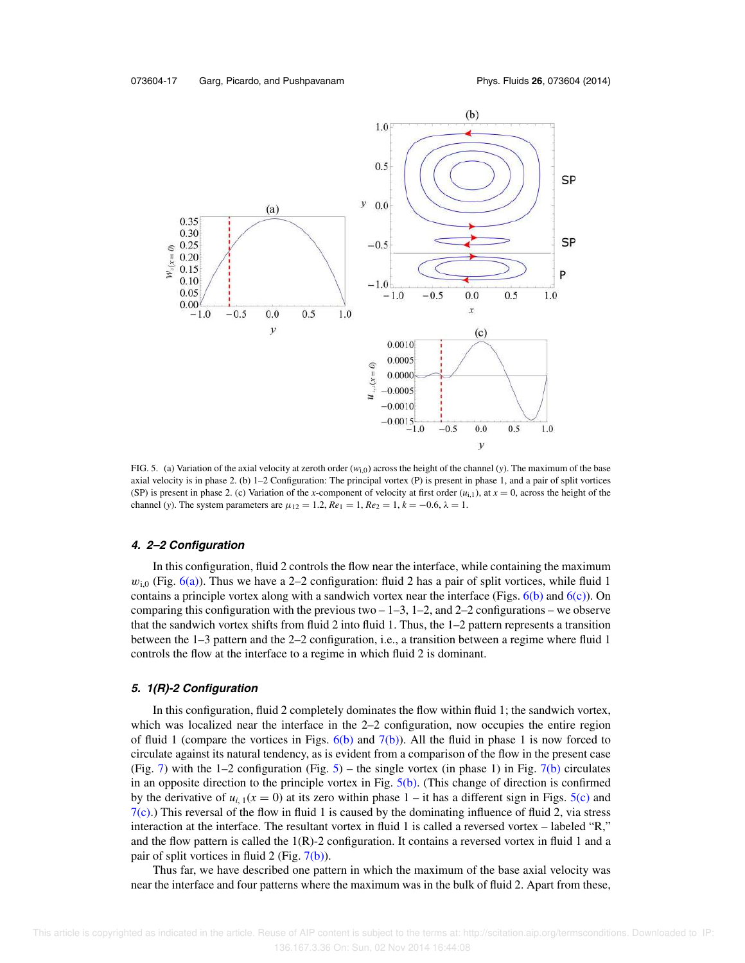

FIG. 5. (a) Variation of the axial velocity at zeroth order (*w*i,0) across the height of the channel (*y*). The maximum of the base axial velocity is in phase 2. (b) 1–2 Configuration: The principal vortex (P) is present in phase 1, and a pair of split vortices (SP) is present in phase 2. (c) Variation of the *x*-component of velocity at first order  $(u_{i,1})$ , at  $x = 0$ , across the height of the channel (*y*). The system parameters are  $\mu_{12} = 1.2$ ,  $Re_1 = 1$ ,  $Re_2 = 1$ ,  $k = -0.6$ ,  $\lambda = 1$ .

#### **4. 2–2 Configuration**

In this configuration, fluid 2 controls the flow near the interface, while containing the maximum  $w_{1,0}$  (Fig. 6(a)). Thus we have a 2–2 configuration: fluid 2 has a pair of split vortices, while fluid 1 contains a principle vortex along with a sandwich vortex near the interface (Figs.  $6(b)$  and  $6(c)$ ). On comparing this configuration with the previous two  $-1-3$ ,  $1-2$ , and  $2-2$  configurations – we observe that the sandwich vortex shifts from fluid 2 into fluid 1. Thus, the 1–2 pattern represents a transition between the 1–3 pattern and the 2–2 configuration, i.e., a transition between a regime where fluid 1 controls the flow at the interface to a regime in which fluid 2 is dominant.

# **5. 1(R)-2 Configuration**

In this configuration, fluid 2 completely dominates the flow within fluid 1; the sandwich vortex, which was localized near the interface in the 2–2 configuration, now occupies the entire region of fluid 1 (compare the vortices in Figs.  $6(b)$  and  $7(b)$ ). All the fluid in phase 1 is now forced to circulate against its natural tendency, as is evident from a comparison of the flow in the present case (Fig. 7) with the  $1-2$  configuration (Fig. 5) – the single vortex (in phase 1) in Fig. 7(b) circulates in an opposite direction to the principle vortex in Fig. 5(b). (This change of direction is confirmed by the derivative of  $u_{i,1}(x=0)$  at its zero within phase  $1 -$ it has a different sign in Figs. 5(c) and  $7(c)$ .) This reversal of the flow in fluid 1 is caused by the dominating influence of fluid 2, via stress interaction at the interface. The resultant vortex in fluid 1 is called a reversed vortex – labeled "R," and the flow pattern is called the  $1(R)$ -2 configuration. It contains a reversed vortex in fluid 1 and a pair of split vortices in fluid 2 (Fig. 7(b)).

Thus far, we have described one pattern in which the maximum of the base axial velocity was near the interface and four patterns where the maximum was in the bulk of fluid 2. Apart from these,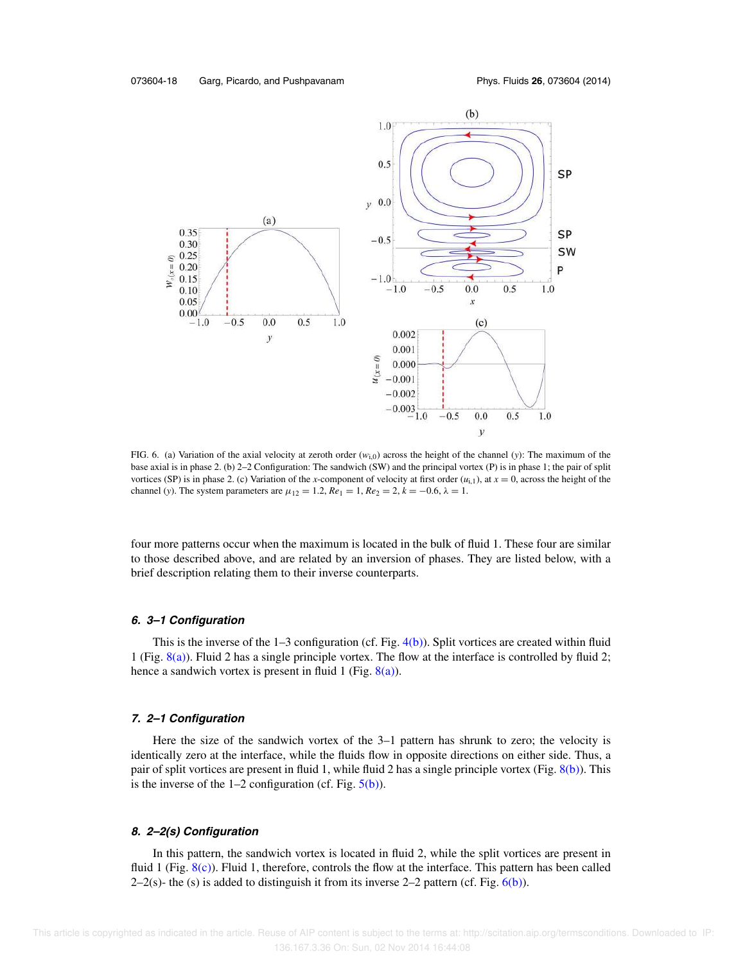

FIG. 6. (a) Variation of the axial velocity at zeroth order  $(w_{i,0})$  across the height of the channel (*y*): The maximum of the base axial is in phase 2. (b) 2–2 Configuration: The sandwich (SW) and the principal vortex (P) is in phase 1; the pair of split vortices (SP) is in phase 2. (c) Variation of the *x*-component of velocity at first order  $(u_{i,1})$ , at  $x = 0$ , across the height of the channel (*y*). The system parameters are  $\mu_{12} = 1.2$ ,  $Re_1 = 1$ ,  $Re_2 = 2$ ,  $k = -0.6$ ,  $\lambda = 1$ .

four more patterns occur when the maximum is located in the bulk of fluid 1. These four are similar to those described above, and are related by an inversion of phases. They are listed below, with a brief description relating them to their inverse counterparts.

### **6. 3–1 Configuration**

This is the inverse of the  $1-3$  configuration (cf. Fig.  $4(b)$ ). Split vortices are created within fluid 1 (Fig. 8(a)). Fluid 2 has a single principle vortex. The flow at the interface is controlled by fluid 2; hence a sandwich vortex is present in fluid 1 (Fig.  $8(a)$ ).

#### **7. 2–1 Configuration**

Here the size of the sandwich vortex of the 3–1 pattern has shrunk to zero; the velocity is identically zero at the interface, while the fluids flow in opposite directions on either side. Thus, a pair of split vortices are present in fluid 1, while fluid 2 has a single principle vortex (Fig.  $8(b)$ ). This is the inverse of the  $1-2$  configuration (cf. Fig.  $5(b)$ ).

#### **8. 2–2(s) Configuration**

In this pattern, the sandwich vortex is located in fluid 2, while the split vortices are present in fluid 1 (Fig. 8(c)). Fluid 1, therefore, controls the flow at the interface. This pattern has been called 2–2(s)- the (s) is added to distinguish it from its inverse 2–2 pattern (cf. Fig.  $6(b)$ ).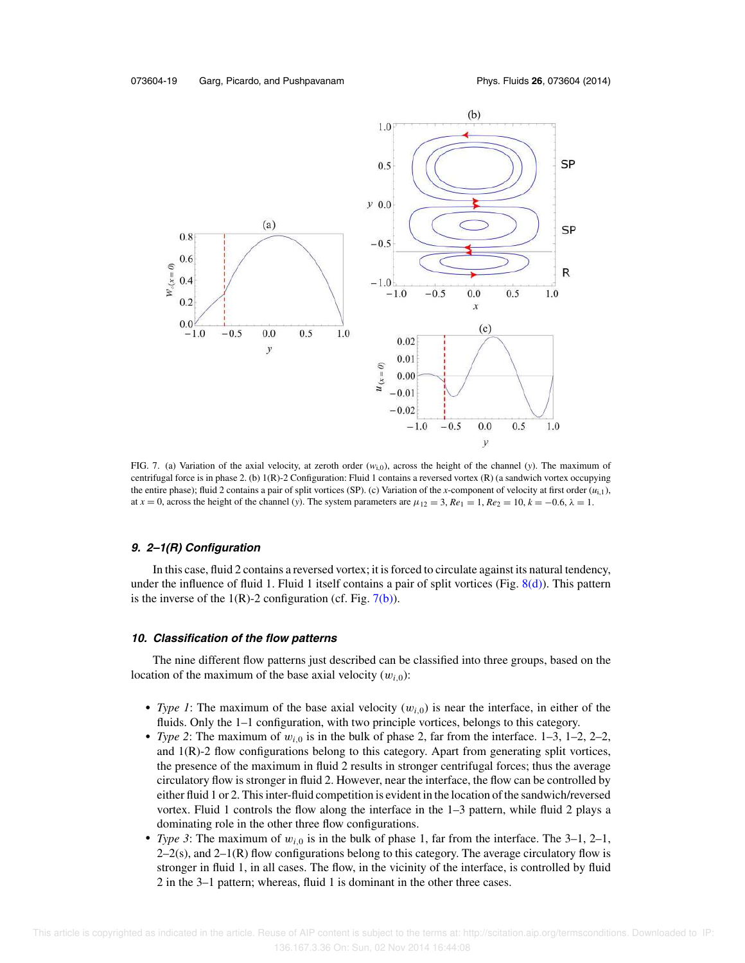

FIG. 7. (a) Variation of the axial velocity, at zeroth order  $(w_{i,0})$ , across the height of the channel (*y*). The maximum of centrifugal force is in phase 2. (b) 1(R)-2 Configuration: Fluid 1 contains a reversed vortex (R) (a sandwich vortex occupying the entire phase); fluid 2 contains a pair of split vortices (SP). (c) Variation of the *x*-component of velocity at first order  $(u_{i,1})$ , at  $x = 0$ , across the height of the channel (*y*). The system parameters are  $\mu_{12} = 3$ ,  $Re_1 = 1$ ,  $Re_2 = 10$ ,  $k = -0.6$ ,  $\lambda = 1$ .

## **9. 2–1(R) Configuration**

In this case, fluid 2 contains a reversed vortex; it is forced to circulate against its natural tendency, under the influence of fluid 1. Fluid 1 itself contains a pair of split vortices (Fig.  $8(d)$ ). This pattern is the inverse of the  $1(R)$ -2 configuration (cf. Fig.  $7(b)$ ).

## **10. Classification of the flow patterns**

The nine different flow patterns just described can be classified into three groups, based on the location of the maximum of the base axial velocity  $(w_{i,0})$ :

- *Type 1*: The maximum of the base axial velocity  $(w_{i,0})$  is near the interface, in either of the fluids. Only the 1-1 configuration, with two principle vortices, belongs to this category.
- *Type 2*: The maximum of  $w_{i,0}$  is in the bulk of phase 2, far from the interface. 1–3, 1–2, 2–2, and  $1(R)-2$  flow configurations belong to this category. Apart from generating split vortices, the presence of the maximum in fluid 2 results in stronger centrifugal forces; thus the average circulatory flow is stronger in fluid 2. However, near the interface, the flow can be controlled by either fluid 1 or 2. This inter-fluid competition is evident in the location of the sandwich/reversed vortex. Fluid 1 controls the flow along the interface in the 1–3 pattern, while fluid 2 plays a dominating role in the other three flow configurations.
- *Type 3*: The maximum of  $w_{i,0}$  is in the bulk of phase 1, far from the interface. The 3–1, 2–1,  $2-2(s)$ , and  $2-1(R)$  flow configurations belong to this category. The average circulatory flow is stronger in fluid 1, in all cases. The flow, in the vicinity of the interface, is controlled by fluid 2 in the 3–1 pattern; whereas, fluid 1 is dominant in the other three cases.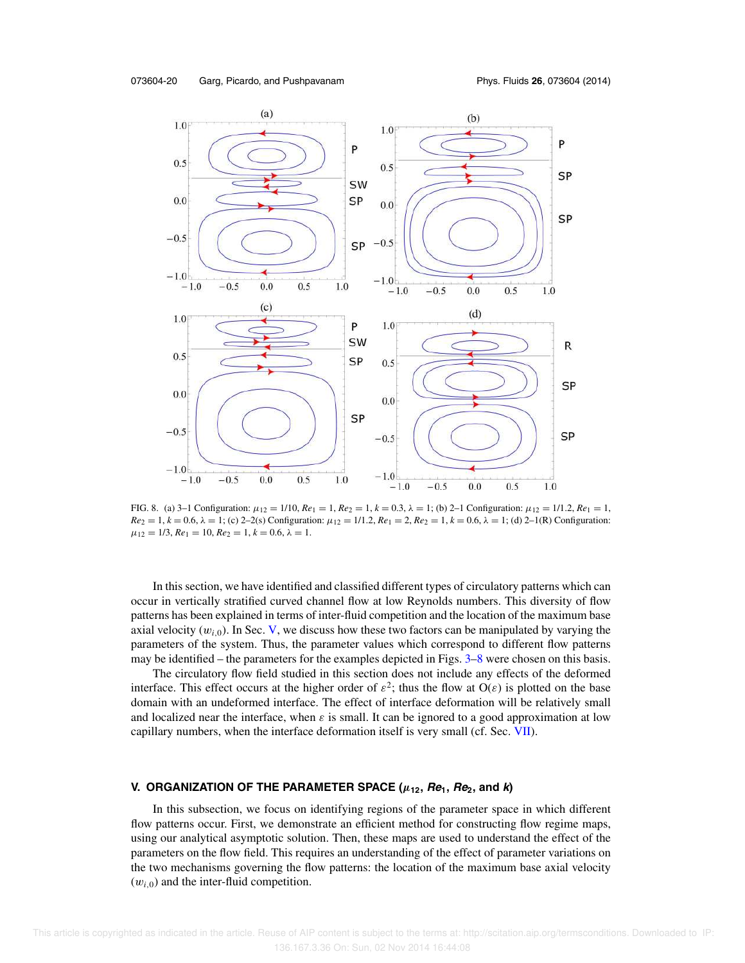

FIG. 8. (a) 3–1 Configuration:  $\mu_{12} = 1/10$ ,  $Re_1 = 1$ ,  $Re_2 = 1$ ,  $k = 0.3$ ,  $\lambda = 1$ ; (b) 2–1 Configuration:  $\mu_{12} = 1/1.2$ ,  $Re_1 = 1$ ,  $Re_2 = 1, k = 0.6, \lambda = 1$ ; (c) 2–2(s) Configuration:  $\mu_{12} = 1/1.2$ ,  $Re_1 = 2$ ,  $Re_2 = 1, k = 0.6, \lambda = 1$ ; (d) 2–1(R) Configuration:  $\mu_{12} = 1/3$ ,  $Re_1 = 10$ ,  $Re_2 = 1$ ,  $k = 0.6$ ,  $\lambda = 1$ .

In this section, we have identified and classified different types of circulatory patterns which can occur in vertically stratified curved channel flow at low Reynolds numbers. This diversity of flow patterns has been explained in terms of inter-fluid competition and the location of the maximum base axial velocity  $(w_{i,0})$ . In Sec. V, we discuss how these two factors can be manipulated by varying the parameters of the system. Thus, the parameter values which correspond to different flow patterns may be identified – the parameters for the examples depicted in Figs. 3–8 were chosen on this basis.

The circulatory flow field studied in this section does not include any effects of the deformed interface. This effect occurs at the higher order of  $\varepsilon^2$ ; thus the flow at  $O(\varepsilon)$  is plotted on the base domain with an undeformed interface. The effect of interface deformation will be relatively small and localized near the interface, when  $\varepsilon$  is small. It can be ignored to a good approximation at low capillary numbers, when the interface deformation itself is very small (cf. Sec. VII).

## **V. ORGANIZATION OF THE PARAMETER SPACE**  $(\mu_{12}, Re_1, Re_2,$  **and**  $k)$

In this subsection, we focus on identifying regions of the parameter space in which different flow patterns occur. First, we demonstrate an efficient method for constructing flow regime maps, using our analytical asymptotic solution. Then, these maps are used to understand the effect of the parameters on the flow field. This requires an understanding of the effect of parameter variations on the two mechanisms governing the flow patterns: the location of the maximum base axial velocity  $(w_{i,0})$  and the inter-fluid competition.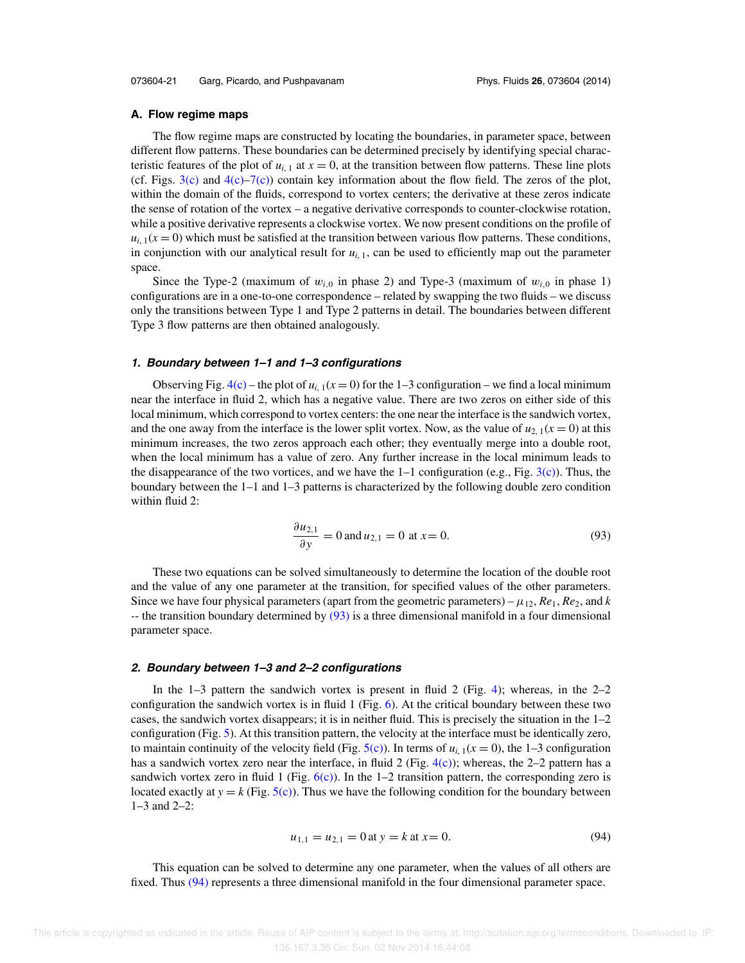#### **A. Flow regime maps**

The flow regime maps are constructed by locating the boundaries, in parameter space, between different flow patterns. These boundaries can be determined precisely by identifying special characteristic features of the plot of  $u_{i,1}$  at  $x = 0$ , at the transition between flow patterns. These line plots (cf. Figs.  $3(c)$  and  $4(c) - 7(c)$ ) contain key information about the flow field. The zeros of the plot, within the domain of the fluids, correspond to vortex centers; the derivative at these zeros indicate the sense of rotation of the vortex – a negative derivative corresponds to counter-clockwise rotation, while a positive derivative represents a clockwise vortex. We now present conditions on the profile of  $u_{i,1}(x=0)$  which must be satisfied at the transition between various flow patterns. These conditions, in conjunction with our analytical result for  $u_{i, 1}$ , can be used to efficiently map out the parameter space.

Since the Type-2 (maximum of  $w_{i,0}$  in phase 2) and Type-3 (maximum of  $w_{i,0}$  in phase 1) configurations are in a one-to-one correspondence – related by swapping the two fluids – we discuss only the transitions between Type 1 and Type 2 patterns in detail. The boundaries between different Type 3 flow patterns are then obtained analogously.

#### **1. Boundary between 1–1 and 1–3 configurations**

Observing Fig.  $4(c)$  – the plot of  $u_{i,1}(x=0)$  for the 1–3 configuration – we find a local minimum near the interface in fluid 2, which has a negative value. There are two zeros on either side of this local minimum, which correspond to vortex centers: the one near the interface is the sandwich vortex, and the one away from the interface is the lower split vortex. Now, as the value of  $u_{2,1}(x=0)$  at this minimum increases, the two zeros approach each other; they eventually merge into a double root, when the local minimum has a value of zero. Any further increase in the local minimum leads to the disappearance of the two vortices, and we have the  $1-1$  configuration (e.g., Fig. 3(c)). Thus, the boundary between the 1–1 and 1–3 patterns is characterized by the following double zero condition within fluid 2:

$$
\frac{\partial u_{2,1}}{\partial y} = 0 \text{ and } u_{2,1} = 0 \text{ at } x = 0.
$$
 (93)

These two equations can be solved simultaneously to determine the location of the double root and the value of any one parameter at the transition, for specified values of the other parameters. Since we have four physical parameters (apart from the geometric parameters) –  $\mu_{12}$ ,  $Re_1$ ,  $Re_2$ , and *k -*- the transition boundary determined by (93) is a three dimensional manifold in a four dimensional parameter space.

## **2. Boundary between 1–3 and 2–2 configurations**

In the  $1-3$  pattern the sandwich vortex is present in fluid 2 (Fig. 4); whereas, in the  $2-2$ configuration the sandwich vortex is in fluid 1 (Fig. 6). At the critical boundary between these two cases, the sandwich vortex disappears; it is in neither fluid. This is precisely the situation in the 1–2 configuration (Fig. 5). At this transition pattern, the velocity at the interface must be identically zero, to maintain continuity of the velocity field (Fig. 5(c)). In terms of  $u_{i,1}(x=0)$ , the 1–3 configuration has a sandwich vortex zero near the interface, in fluid 2 (Fig.  $4(c)$ ); whereas, the 2–2 pattern has a sandwich vortex zero in fluid 1 (Fig.  $6(c)$ ). In the 1–2 transition pattern, the corresponding zero is located exactly at  $y = k$  (Fig. 5(c)). Thus we have the following condition for the boundary between 1–3 and 2–2:

$$
u_{1,1} = u_{2,1} = 0 \text{ at } y = k \text{ at } x = 0. \tag{94}
$$

This equation can be solved to determine any one parameter, when the values of all others are fixed. Thus (94) represents a three dimensional manifold in the four dimensional parameter space.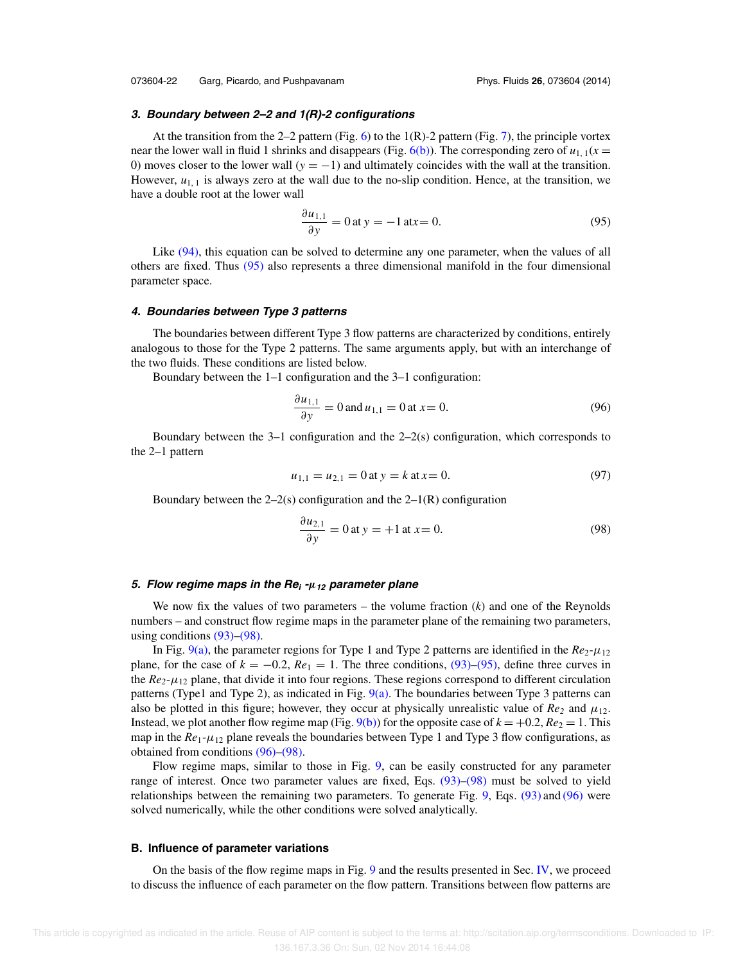#### **3. Boundary between 2–2 and 1(R)-2 configurations**

At the transition from the 2–2 pattern (Fig. 6) to the  $1(R)$ -2 pattern (Fig. 7), the principle vortex near the lower wall in fluid 1 shrinks and disappears (Fig.  $6(b)$ ). The corresponding zero of  $u_{1,1}(x)$ 0) moves closer to the lower wall  $(y = -1)$  and ultimately coincides with the wall at the transition. However,  $u_{1,1}$  is always zero at the wall due to the no-slip condition. Hence, at the transition, we have a double root at the lower wall

$$
\frac{\partial u_{1,1}}{\partial y} = 0 \text{ at } y = -1 \text{ at } x = 0.
$$
 (95)

Like  $(94)$ , this equation can be solved to determine any one parameter, when the values of all others are fixed. Thus (95) also represents a three dimensional manifold in the four dimensional parameter space.

#### **4. Boundaries between Type 3 patterns**

The boundaries between different Type 3 flow patterns are characterized by conditions, entirely analogous to those for the Type 2 patterns. The same arguments apply, but with an interchange of the two fluids. These conditions are listed below.

Boundary between the 1–1 configuration and the 3–1 configuration:

$$
\frac{\partial u_{1,1}}{\partial y} = 0 \text{ and } u_{1,1} = 0 \text{ at } x = 0.
$$
 (96)

Boundary between the  $3-1$  configuration and the  $2-2(s)$  configuration, which corresponds to the 2–1 pattern

$$
u_{1,1} = u_{2,1} = 0 \text{ at } y = k \text{ at } x = 0. \tag{97}
$$

Boundary between the  $2-2(s)$  configuration and the  $2-1(R)$  configuration

$$
\frac{\partial u_{2,1}}{\partial y} = 0 \text{ at } y = +1 \text{ at } x = 0.
$$
 (98)

#### **5. Flow regime maps in the Re<sup>i</sup> -**µ**<sup>12</sup> parameter plane**

We now fix the values of two parameters – the volume fraction (*k*) and one of the Reynolds numbers – and construct flow regime maps in the parameter plane of the remaining two parameters, using conditions (93)–(98).

In Fig. 9(a), the parameter regions for Type 1 and Type 2 patterns are identified in the  $Re_2$ - $\mu_{12}$ plane, for the case of  $k = -0.2$ ,  $Re_1 = 1$ . The three conditions, (93)–(95), define three curves in the  $Re_2$ - $\mu_{12}$  plane, that divide it into four regions. These regions correspond to different circulation patterns (Type1 and Type 2), as indicated in Fig.  $9(a)$ . The boundaries between Type 3 patterns can also be plotted in this figure; however, they occur at physically unrealistic value of  $Re<sub>2</sub>$  and  $\mu_{12}$ . Instead, we plot another flow regime map (Fig. 9(b)) for the opposite case of  $k = +0.2$ ,  $Re_2 = 1$ . This map in the  $Re_1$ - $\mu_{12}$  plane reveals the boundaries between Type 1 and Type 3 flow configurations, as obtained from conditions (96)–(98).

Flow regime maps, similar to those in Fig. 9, can be easily constructed for any parameter range of interest. Once two parameter values are fixed, Eqs. (93)–(98) must be solved to yield relationships between the remaining two parameters. To generate Fig. 9, Eqs. (93) and (96) were solved numerically, while the other conditions were solved analytically.

## **B. Influence of parameter variations**

On the basis of the flow regime maps in Fig. 9 and the results presented in Sec. IV, we proceed to discuss the influence of each parameter on the flow pattern. Transitions between flow patterns are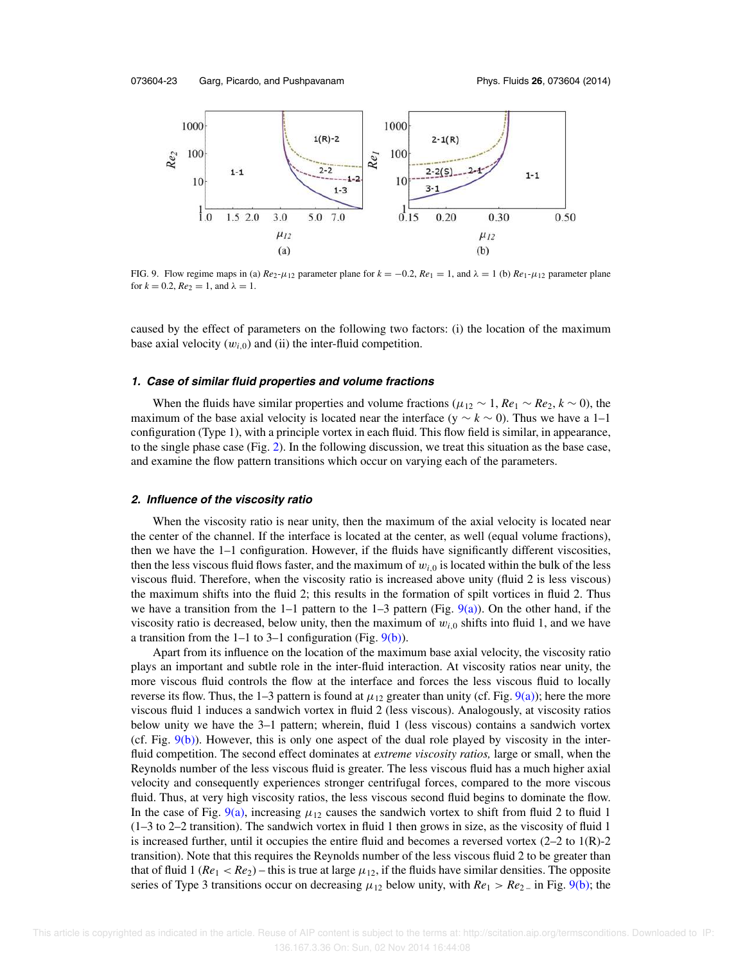

FIG. 9. Flow regime maps in (a)  $Re_2$ - $\mu_{12}$  parameter plane for  $k = -0.2$ ,  $Re_1 = 1$ , and  $\lambda = 1$  (b)  $Re_1$ - $\mu_{12}$  parameter plane for  $k = 0.2$ ,  $Re_2 = 1$ , and  $\lambda = 1$ .

caused by the effect of parameters on the following two factors: (i) the location of the maximum base axial velocity  $(w_{i,0})$  and (ii) the inter-fluid competition.

#### **1. Case of similar fluid properties and volume fractions**

When the fluids have similar properties and volume fractions ( $\mu_{12} \sim 1$ ,  $Re_1 \sim Re_2$ ,  $k \sim 0$ ), the maximum of the base axial velocity is located near the interface (y ∼ *k* ∼ 0). Thus we have a 1–1 configuration (Type 1), with a principle vortex in each fluid. This flow field is similar, in appearance, to the single phase case (Fig. 2). In the following discussion, we treat this situation as the base case, and examine the flow pattern transitions which occur on varying each of the parameters.

#### **2. Influence of the viscosity ratio**

When the viscosity ratio is near unity, then the maximum of the axial velocity is located near the center of the channel. If the interface is located at the center, as well (equal volume fractions), then we have the 1–1 configuration. However, if the fluids have significantly different viscosities, then the less viscous fluid flows faster, and the maximum of  $w_{i,0}$  is located within the bulk of the less viscous fluid. Therefore, when the viscosity ratio is increased above unity (fluid 2 is less viscous) the maximum shifts into the fluid 2; this results in the formation of spilt vortices in fluid 2. Thus we have a transition from the 1–1 pattern to the 1–3 pattern (Fig. 9(a)). On the other hand, if the viscosity ratio is decreased, below unity, then the maximum of  $w_{i,0}$  shifts into fluid 1, and we have a transition from the  $1-1$  to  $3-1$  configuration (Fig.  $9(b)$ ).

Apart from its influence on the location of the maximum base axial velocity, the viscosity ratio plays an important and subtle role in the inter-fluid interaction. At viscosity ratios near unity, the more viscous fluid controls the flow at the interface and forces the less viscous fluid to locally reverse its flow. Thus, the 1–3 pattern is found at  $\mu_{12}$  greater than unity (cf. Fig. 9(a)); here the more viscous fluid 1 induces a sandwich vortex in fluid 2 (less viscous). Analogously, at viscosity ratios below unity we have the 3–1 pattern; wherein, fluid 1 (less viscous) contains a sandwich vortex (cf. Fig.  $9(b)$ ). However, this is only one aspect of the dual role played by viscosity in the interfluid competition. The second effect dominates at *extreme viscosity ratios,* large or small, when the Reynolds number of the less viscous fluid is greater. The less viscous fluid has a much higher axial velocity and consequently experiences stronger centrifugal forces, compared to the more viscous fluid. Thus, at very high viscosity ratios, the less viscous second fluid begins to dominate the flow. In the case of Fig. 9(a), increasing  $\mu_{12}$  causes the sandwich vortex to shift from fluid 2 to fluid 1 (1–3 to 2–2 transition). The sandwich vortex in fluid 1 then grows in size, as the viscosity of fluid 1 is increased further, until it occupies the entire fluid and becomes a reversed vortex  $(2-2 \text{ to } 1)(R)-2$ transition). Note that this requires the Reynolds number of the less viscous fluid 2 to be greater than that of fluid 1 ( $Re_1 < Re_2$ ) – this is true at large  $\mu_{12}$ , if the fluids have similar densities. The opposite series of Type 3 transitions occur on decreasing  $\mu_{12}$  below unity, with  $Re_1 > Re_2$  in Fig. 9(b); the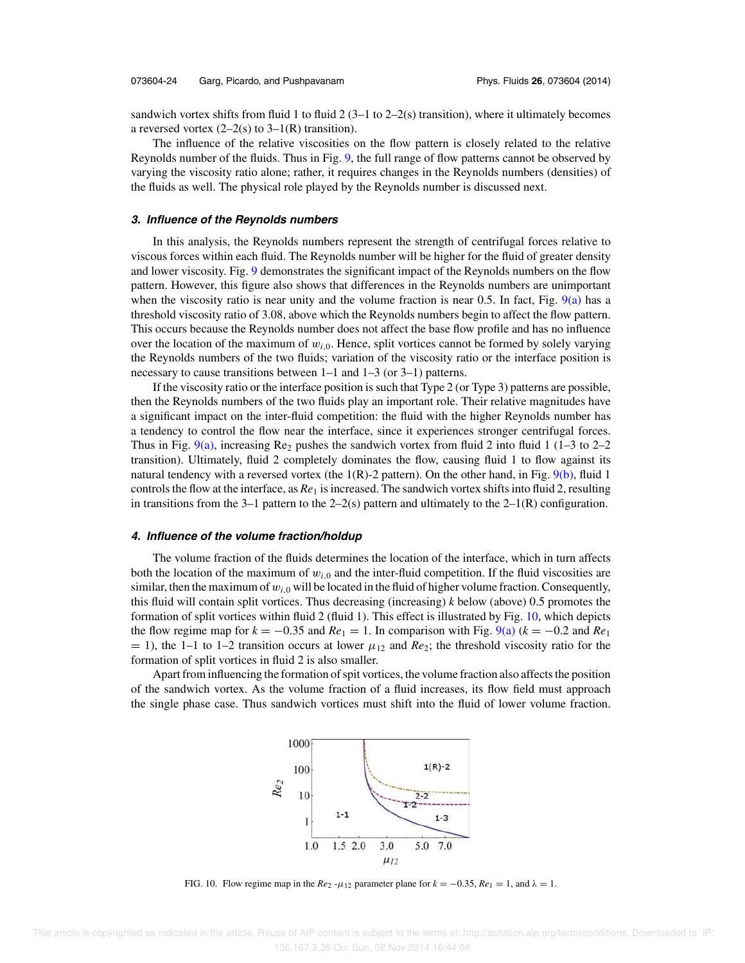sandwich vortex shifts from fluid 1 to fluid  $2(3-1)$  to  $2-2(s)$  transition), where it ultimately becomes a reversed vortex  $(2-2(s)$  to  $3-1(R)$  transition).

The influence of the relative viscosities on the flow pattern is closely related to the relative Reynolds number of the fluids. Thus in Fig. 9, the full range of flow patterns cannot be observed by varying the viscosity ratio alone; rather, it requires changes in the Reynolds numbers (densities) of the fluids as well. The physical role played by the Reynolds number is discussed next.

#### **3. Influence of the Reynolds numbers**

In this analysis, the Reynolds numbers represent the strength of centrifugal forces relative to viscous forces within each fluid. The Reynolds number will be higher for the fluid of greater density and lower viscosity. Fig. 9 demonstrates the significant impact of the Reynolds numbers on the flow pattern. However, this figure also shows that differences in the Reynolds numbers are unimportant when the viscosity ratio is near unity and the volume fraction is near 0.5. In fact, Fig.  $9(a)$  has a threshold viscosity ratio of 3.08, above which the Reynolds numbers begin to affect the flow pattern. This occurs because the Reynolds number does not affect the base flow profile and has no influence over the location of the maximum of  $w_{i,0}$ . Hence, split vortices cannot be formed by solely varying the Reynolds numbers of the two fluids; variation of the viscosity ratio or the interface position is necessary to cause transitions between 1–1 and 1–3 (or 3–1) patterns.

If the viscosity ratio or the interface position is such that Type 2 (or Type 3) patterns are possible, then the Reynolds numbers of the two fluids play an important role. Their relative magnitudes have a significant impact on the inter-fluid competition: the fluid with the higher Reynolds number has a tendency to control the flow near the interface, since it experiences stronger centrifugal forces. Thus in Fig.  $9(a)$ , increasing Re<sub>2</sub> pushes the sandwich vortex from fluid 2 into fluid 1 (1–3 to 2–2) transition). Ultimately, fluid 2 completely dominates the flow, causing fluid 1 to flow against its natural tendency with a reversed vortex (the  $1(R)$ -2 pattern). On the other hand, in Fig.  $9(b)$ , fluid 1 controls the flow at the interface, as  $Re_1$  is increased. The sandwich vortex shifts into fluid 2, resulting in transitions from the 3–1 pattern to the 2–2(s) pattern and ultimately to the 2–1(R) configuration.

#### **4. Influence of the volume fraction/holdup**

The volume fraction of the fluids determines the location of the interface, which in turn affects both the location of the maximum of  $w_{i,0}$  and the inter-fluid competition. If the fluid viscosities are similar, then the maximum of  $w_{i,0}$  will be located in the fluid of higher volume fraction. Consequently, this fluid will contain split vortices. Thus decreasing (increasing) *k* below (above) 0.5 promotes the formation of split vortices within fluid 2 (fluid 1). This effect is illustrated by Fig. 10, which depicts the flow regime map for  $k = -0.35$  and  $Re_1 = 1$ . In comparison with Fig. 9(a)  $(k = -0.2$  and  $Re_1$  $= 1$ ), the 1–1 to 1–2 transition occurs at lower  $\mu_{12}$  and  $Re_2$ ; the threshold viscosity ratio for the formation of split vortices in fluid 2 is also smaller.

Apart from influencing the formation of spit vortices, the volume fraction also affects the position of the sandwich vortex. As the volume fraction of a fluid increases, its flow field must approach the single phase case. Thus sandwich vortices must shift into the fluid of lower volume fraction.



FIG. 10. Flow regime map in the  $Re_2$  - $\mu_{12}$  parameter plane for  $k = -0.35$ ,  $Re_1 = 1$ , and  $\lambda = 1$ .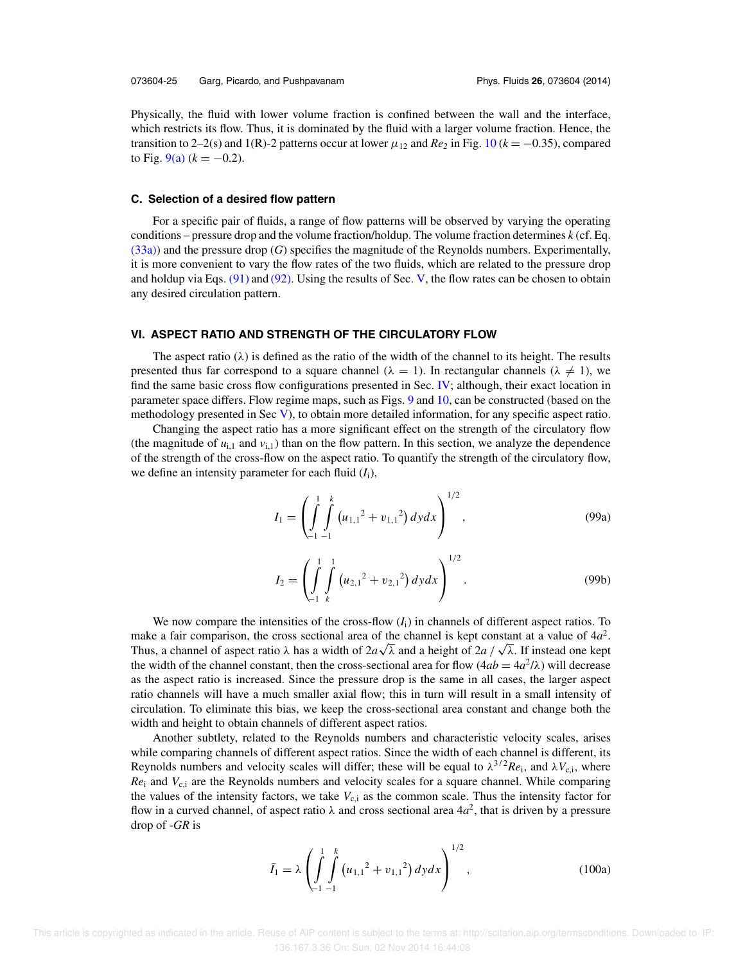Physically, the fluid with lower volume fraction is confined between the wall and the interface, which restricts its flow. Thus, it is dominated by the fluid with a larger volume fraction. Hence, the transition to 2–2(s) and 1(R)-2 patterns occur at lower  $\mu_{12}$  and  $Re_2$  in Fig. 10 ( $k = -0.35$ ), compared to Fig.  $9(a)$  ( $k = -0.2$ ).

#### **C. Selection of a desired flow pattern**

For a specific pair of fluids, a range of flow patterns will be observed by varying the operating conditions – pressure drop and the volume fraction/holdup. The volume fraction determines *k* (cf. Eq. (33a)) and the pressure drop (*G*) specifies the magnitude of the Reynolds numbers. Experimentally, it is more convenient to vary the flow rates of the two fluids, which are related to the pressure drop and holdup via Eqs.  $(91)$  and  $(92)$ . Using the results of Sec. V, the flow rates can be chosen to obtain any desired circulation pattern.

# **VI. ASPECT RATIO AND STRENGTH OF THE CIRCULATORY FLOW**

The aspect ratio  $(\lambda)$  is defined as the ratio of the width of the channel to its height. The results presented thus far correspond to a square channel ( $\lambda = 1$ ). In rectangular channels ( $\lambda \neq 1$ ), we find the same basic cross flow configurations presented in Sec. IV; although, their exact location in parameter space differs. Flow regime maps, such as Figs. 9 and 10, can be constructed (based on the methodology presented in Sec V), to obtain more detailed information, for any specific aspect ratio.

Changing the aspect ratio has a more significant effect on the strength of the circulatory flow (the magnitude of  $u_{i,1}$  and  $v_{i,1}$ ) than on the flow pattern. In this section, we analyze the dependence of the strength of the cross-flow on the aspect ratio. To quantify the strength of the circulatory flow, we define an intensity parameter for each fluid (*I*i),

$$
I_1 = \left(\int_{-1}^{1} \int_{-1}^{k} \left(u_{1,1}^2 + v_{1,1}^2\right) dy dx\right)^{1/2},\tag{99a}
$$

$$
I_2 = \left(\int_{-1}^{1} \int_{k}^{1} \left(u_{2,1}^2 + v_{2,1}^2\right) dy dx\right)^{1/2}.
$$
 (99b)

We now compare the intensities of the cross-flow  $(I<sub>i</sub>)$  in channels of different aspect ratios. To make a fair comparison, the cross sectional area of the channel is kept constant at a value of  $4a^2$ . Thus, a channel of aspect ratio  $\lambda$  has a width of  $2a\sqrt{\lambda}$  and a height of  $2a/\sqrt{\lambda}$ . If instead one kept the width of the channel constant, then the cross-sectional area for flow  $(4ab = 4a^2/\lambda)$  will decrease as the aspect ratio is increased. Since the pressure drop is the same in all cases, the larger aspect ratio channels will have a much smaller axial flow; this in turn will result in a small intensity of circulation. To eliminate this bias, we keep the cross-sectional area constant and change both the width and height to obtain channels of different aspect ratios.

Another subtlety, related to the Reynolds numbers and characteristic velocity scales, arises while comparing channels of different aspect ratios. Since the width of each channel is different, its Reynolds numbers and velocity scales will differ; these will be equal to  $\lambda^{3/2}Re_i$ , and  $\lambda V_{c,i}$ , where  $Re_i$  and  $V_{ci}$  are the Reynolds numbers and velocity scales for a square channel. While comparing the values of the intensity factors, we take  $V_{c,i}$  as the common scale. Thus the intensity factor for flow in a curved channel, of aspect ratio  $\lambda$  and cross sectional area  $4a^2$ , that is driven by a pressure drop of -*GR* is

$$
\bar{I}_1 = \lambda \left( \int_{-1}^{1} \int_{-1}^{k} \left( u_{1,1}^2 + v_{1,1}^2 \right) dy dx \right)^{1/2}, \qquad (100a)
$$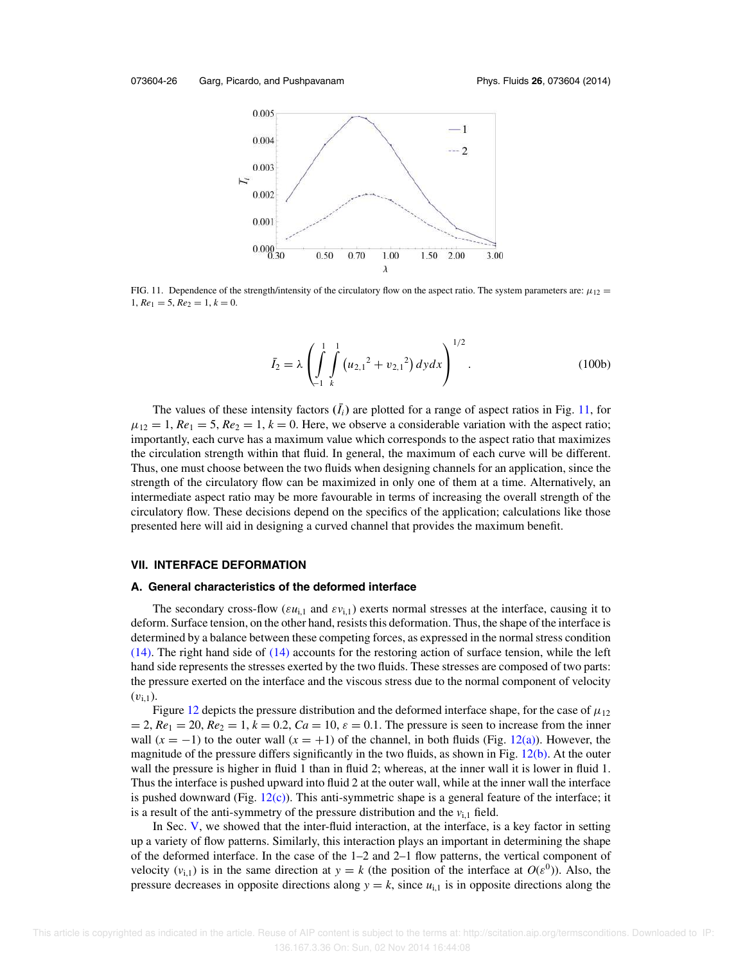

FIG. 11. Dependence of the strength/intensity of the circulatory flow on the aspect ratio. The system parameters are:  $\mu_{12}$  $1, Re_1 = 5, Re_2 = 1, k = 0.$ 

$$
\bar{I}_2 = \lambda \left( \int_{-1}^{1} \int_{k}^{1} \left( u_{2,1}^2 + v_{2,1}^2 \right) dy dx \right)^{1/2}.
$$
 (100b)

The values of these intensity factors  $(\bar{I}_i)$  are plotted for a range of aspect ratios in Fig. 11, for  $\mu_{12} = 1$ ,  $Re_1 = 5$ ,  $Re_2 = 1$ ,  $k = 0$ . Here, we observe a considerable variation with the aspect ratio; importantly, each curve has a maximum value which corresponds to the aspect ratio that maximizes the circulation strength within that fluid. In general, the maximum of each curve will be different. Thus, one must choose between the two fluids when designing channels for an application, since the strength of the circulatory flow can be maximized in only one of them at a time. Alternatively, an intermediate aspect ratio may be more favourable in terms of increasing the overall strength of the circulatory flow. These decisions depend on the specifics of the application; calculations like those presented here will aid in designing a curved channel that provides the maximum benefit.

## **VII. INTERFACE DEFORMATION**

#### **A. General characteristics of the deformed interface**

The secondary cross-flow ( $\epsilon u_{i,1}$  and  $\epsilon v_{i,1}$ ) exerts normal stresses at the interface, causing it to deform. Surface tension, on the other hand, resists this deformation. Thus, the shape of the interface is determined by a balance between these competing forces, as expressed in the normal stress condition (14). The right hand side of (14) accounts for the restoring action of surface tension, while the left hand side represents the stresses exerted by the two fluids. These stresses are composed of two parts: the pressure exerted on the interface and the viscous stress due to the normal component of velocity  $(v_{i,1}).$ 

Figure 12 depicts the pressure distribution and the deformed interface shape, for the case of  $\mu_{12}$  $= 2$ ,  $Re_1 = 20$ ,  $Re_2 = 1$ ,  $k = 0.2$ ,  $Ca = 10$ ,  $\varepsilon = 0.1$ . The pressure is seen to increase from the inner wall  $(x = -1)$  to the outer wall  $(x = +1)$  of the channel, in both fluids (Fig. 12(a)). However, the magnitude of the pressure differs significantly in the two fluids, as shown in Fig. 12(b). At the outer wall the pressure is higher in fluid 1 than in fluid 2; whereas, at the inner wall it is lower in fluid 1. Thus the interface is pushed upward into fluid 2 at the outer wall, while at the inner wall the interface is pushed downward (Fig.  $12(c)$ ). This anti-symmetric shape is a general feature of the interface; it is a result of the anti-symmetry of the pressure distribution and the  $v_{i,1}$  field.

In Sec. V, we showed that the inter-fluid interaction, at the interface, is a key factor in setting up a variety of flow patterns. Similarly, this interaction plays an important in determining the shape of the deformed interface. In the case of the 1–2 and 2–1 flow patterns, the vertical component of velocity  $(v_{i,1})$  is in the same direction at  $y = k$  (the position of the interface at  $O(\varepsilon^0)$ ). Also, the pressure decreases in opposite directions along  $y = k$ , since  $u_{i,1}$  is in opposite directions along the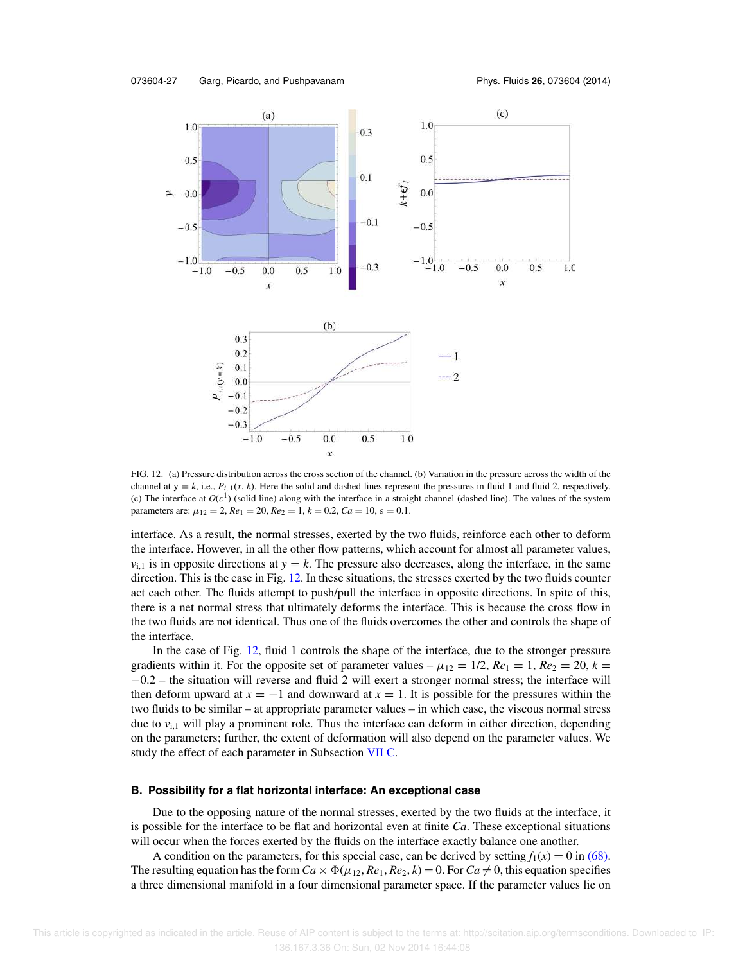

FIG. 12. (a) Pressure distribution across the cross section of the channel. (b) Variation in the pressure across the width of the channel at  $y = k$ , i.e.,  $P_{i,1}(x, k)$ . Here the solid and dashed lines represent the pressures in fluid 1 and fluid 2, respectively. (c) The interface at  $O(\varepsilon^1)$  (solid line) along with the interface in a straight channel (dashed line). The values of the system parameters are:  $\mu_{12} = 2$ ,  $Re_1 = 20$ ,  $Re_2 = 1$ ,  $k = 0.2$ ,  $Ca = 10$ ,  $\varepsilon = 0.1$ .

interface. As a result, the normal stresses, exerted by the two fluids, reinforce each other to deform the interface. However, in all the other flow patterns, which account for almost all parameter values,  $v_{i,1}$  is in opposite directions at  $y = k$ . The pressure also decreases, along the interface, in the same direction. This is the case in Fig. 12. In these situations, the stresses exerted by the two fluids counter act each other. The fluids attempt to push/pull the interface in opposite directions. In spite of this, there is a net normal stress that ultimately deforms the interface. This is because the cross flow in the two fluids are not identical. Thus one of the fluids overcomes the other and controls the shape of the interface.

In the case of Fig. 12, fluid 1 controls the shape of the interface, due to the stronger pressure gradients within it. For the opposite set of parameter values –  $\mu_{12} = 1/2$ ,  $Re_1 = 1$ ,  $Re_2 = 20$ ,  $k =$ −0.2 – the situation will reverse and fluid 2 will exert a stronger normal stress; the interface will then deform upward at  $x = -1$  and downward at  $x = 1$ . It is possible for the pressures within the two fluids to be similar – at appropriate parameter values – in which case, the viscous normal stress due to *v*i,1 will play a prominent role. Thus the interface can deform in either direction, depending on the parameters; further, the extent of deformation will also depend on the parameter values. We study the effect of each parameter in Subsection VII C.

#### **B. Possibility for a flat horizontal interface: An exceptional case**

Due to the opposing nature of the normal stresses, exerted by the two fluids at the interface, it is possible for the interface to be flat and horizontal even at finite *Ca*. These exceptional situations will occur when the forces exerted by the fluids on the interface exactly balance one another.

A condition on the parameters, for this special case, can be derived by setting  $f_1(x) = 0$  in (68). The resulting equation has the form  $Ca \times \Phi(\mu_{12}, Re_1, Re_2, k) = 0$ . For  $Ca \neq 0$ , this equation specifies a three dimensional manifold in a four dimensional parameter space. If the parameter values lie on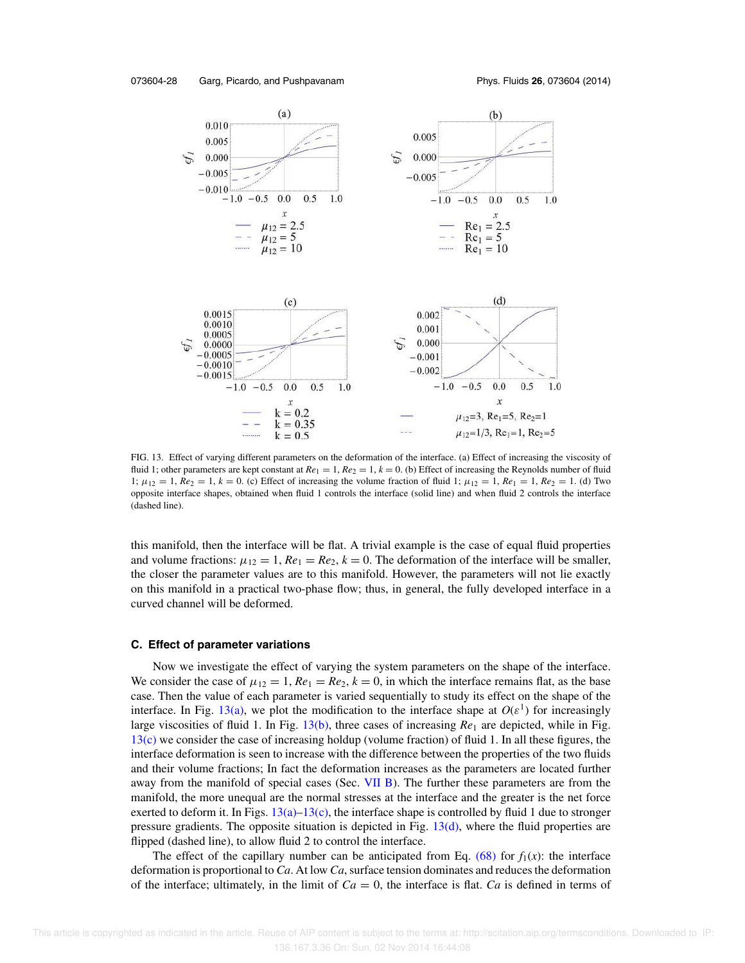

FIG. 13. Effect of varying different parameters on the deformation of the interface. (a) Effect of increasing the viscosity of fluid 1; other parameters are kept constant at  $Re_1 = 1$ ,  $Re_2 = 1$ ,  $k = 0$ . (b) Effect of increasing the Reynolds number of fluid 1;  $\mu_{12} = 1$ ,  $Re_2 = 1$ ,  $k = 0$ . (c) Effect of increasing the volume fraction of fluid 1;  $\mu_{12} = 1$ ,  $Re_1 = 1$ ,  $Re_2 = 1$ . (d) Two opposite interface shapes, obtained when fluid 1 controls the interface (solid line) and when fluid 2 controls the interface (dashed line).

this manifold, then the interface will be flat. A trivial example is the case of equal fluid properties and volume fractions:  $\mu_{12} = 1$ ,  $Re_1 = Re_2$ ,  $k = 0$ . The deformation of the interface will be smaller, the closer the parameter values are to this manifold. However, the parameters will not lie exactly on this manifold in a practical two-phase flow; thus, in general, the fully developed interface in a curved channel will be deformed.

#### **C. Effect of parameter variations**

Now we investigate the effect of varying the system parameters on the shape of the interface. We consider the case of  $\mu_{12} = 1$ ,  $Re_1 = Re_2$ ,  $k = 0$ , in which the interface remains flat, as the base case. Then the value of each parameter is varied sequentially to study its effect on the shape of the interface. In Fig. 13(a), we plot the modification to the interface shape at  $O(\varepsilon^1)$  for increasingly large viscosities of fluid 1. In Fig.  $13(b)$ , three cases of increasing  $Re_1$  are depicted, while in Fig. 13(c) we consider the case of increasing holdup (volume fraction) of fluid 1. In all these figures, the interface deformation is seen to increase with the difference between the properties of the two fluids and their volume fractions; In fact the deformation increases as the parameters are located further away from the manifold of special cases (Sec. VII B). The further these parameters are from the manifold, the more unequal are the normal stresses at the interface and the greater is the net force exerted to deform it. In Figs.  $13(a)-13(c)$ , the interface shape is controlled by fluid 1 due to stronger pressure gradients. The opposite situation is depicted in Fig.  $13(d)$ , where the fluid properties are flipped (dashed line), to allow fluid 2 to control the interface.

The effect of the capillary number can be anticipated from Eq. (68) for  $f_1(x)$ : the interface deformation is proportional to *Ca*. At low *Ca*, surface tension dominates and reduces the deformation of the interface; ultimately, in the limit of  $Ca = 0$ , the interface is flat.  $Ca$  is defined in terms of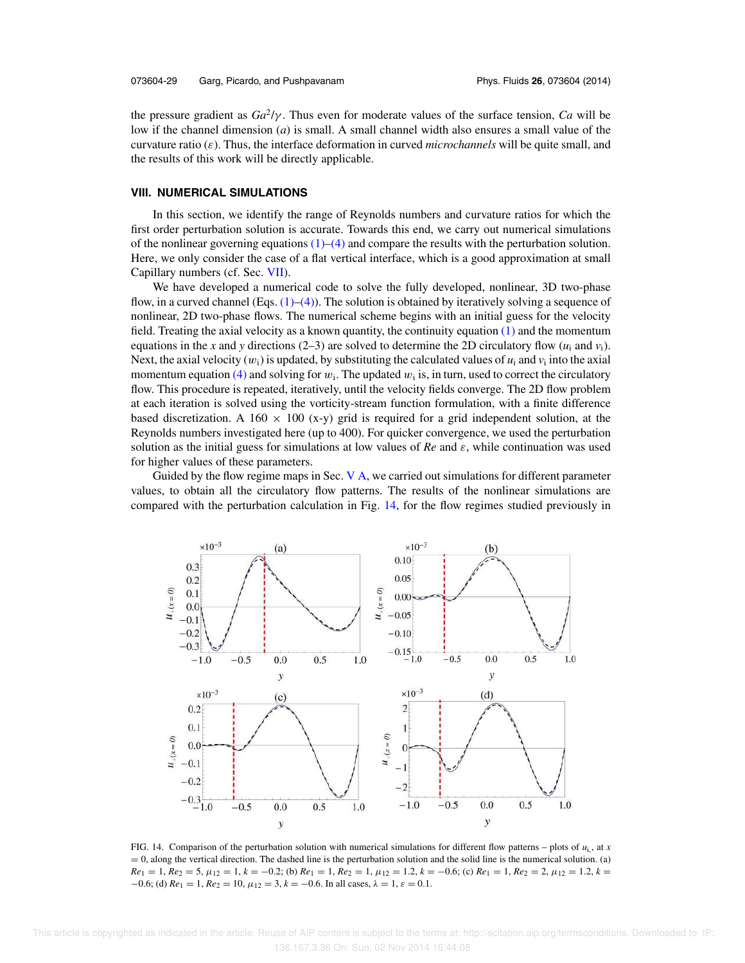the pressure gradient as *Ga*<sup>2</sup> /γ . Thus even for moderate values of the surface tension, *Ca* will be low if the channel dimension (*a*) is small. A small channel width also ensures a small value of the curvature ratio (ε). Thus, the interface deformation in curved *microchannels* will be quite small, and the results of this work will be directly applicable.

# **VIII. NUMERICAL SIMULATIONS**

In this section, we identify the range of Reynolds numbers and curvature ratios for which the first order perturbation solution is accurate. Towards this end, we carry out numerical simulations of the nonlinear governing equations  $(1)$ – $(4)$  and compare the results with the perturbation solution. Here, we only consider the case of a flat vertical interface, which is a good approximation at small Capillary numbers (cf. Sec. VII).

We have developed a numerical code to solve the fully developed, nonlinear, 3D two-phase flow, in a curved channel (Eqs.  $(1)$ – $(4)$ ). The solution is obtained by iteratively solving a sequence of nonlinear, 2D two-phase flows. The numerical scheme begins with an initial guess for the velocity field. Treating the axial velocity as a known quantity, the continuity equation (1) and the momentum equations in the *x* and *y* directions (2–3) are solved to determine the 2D circulatory flow  $(u_i$  and  $v_i$ ). Next, the axial velocity  $(w_i)$  is updated, by substituting the calculated values of  $u_i$  and  $v_i$  into the axial momentum equation (4) and solving for  $w_i$ . The updated  $w_i$  is, in turn, used to correct the circulatory flow. This procedure is repeated, iteratively, until the velocity fields converge. The 2D flow problem at each iteration is solved using the vorticity-stream function formulation, with a finite difference based discretization. A 160  $\times$  100 (x-y) grid is required for a grid independent solution, at the Reynolds numbers investigated here (up to 400). For quicker convergence, we used the perturbation solution as the initial guess for simulations at low values of *Re* and ε, while continuation was used for higher values of these parameters.

Guided by the flow regime maps in Sec.  $V$  A, we carried out simulations for different parameter values, to obtain all the circulatory flow patterns. The results of the nonlinear simulations are compared with the perturbation calculation in Fig. 14, for the flow regimes studied previously in



FIG. 14. Comparison of the perturbation solution with numerical simulations for different flow patterns – plots of  $u_i$ , at *x*  $= 0$ , along the vertical direction. The dashed line is the perturbation solution and the solid line is the numerical solution. (a)  $Re_1 = 1, Re_2 = 5, \mu_{12} = 1, k = -0.2$ ; (b)  $Re_1 = 1, Re_2 = 1, \mu_{12} = 1.2, k = -0.6$ ; (c)  $Re_1 = 1, Re_2 = 2, \mu_{12} = 1.2, k = -0.2$  $-0.6$ ; (d)  $Re_1 = 1$ ,  $Re_2 = 10$ ,  $\mu_{12} = 3$ ,  $k = -0.6$ . In all cases,  $\lambda = 1$ ,  $\varepsilon = 0.1$ .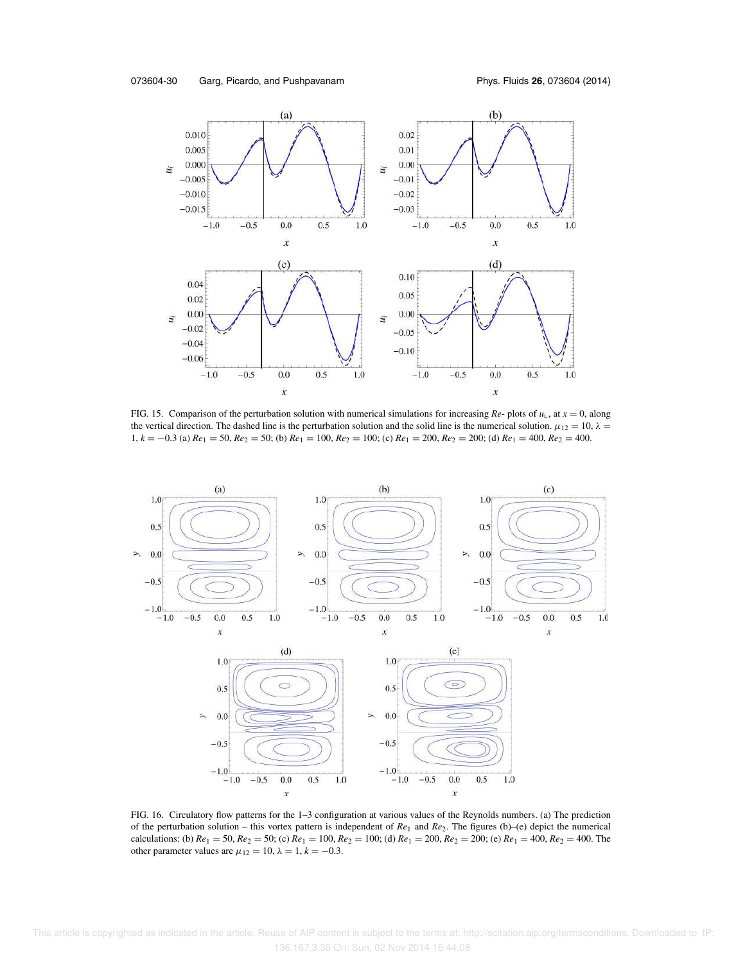



FIG. 15. Comparison of the perturbation solution with numerical simulations for increasing  $Re$ - plots of  $u_i$ ,, at  $x = 0$ , along the vertical direction. The dashed line is the perturbation solution and the solid line is the numerical solution.  $\mu_{12} = 10$ ,  $\lambda =$ 1, *k* = −0.3 (a) *Re*<sup>1</sup> = 50, *Re*<sup>2</sup> = 50; (b) *Re*<sup>1</sup> = 100, *Re*<sup>2</sup> = 100; (c) *Re*<sup>1</sup> = 200, *Re*<sup>2</sup> = 200; (d) *Re*<sup>1</sup> = 400, *Re*<sup>2</sup> = 400.



FIG. 16. Circulatory flow patterns for the 1–3 configuration at various values of the Reynolds numbers. (a) The prediction of the perturbation solution – this vortex pattern is independent of  $Re_1$  and  $Re_2$ . The figures (b)–(e) depict the numerical calculations: (b)  $Re_1 = 50$ ,  $Re_2 = 50$ ; (c)  $Re_1 = 100$ ,  $Re_2 = 100$ ; (d)  $Re_1 = 200$ ,  $Re_2 = 200$ ; (e)  $Re_1 = 400$ ,  $Re_2 = 400$ . The other parameter values are  $\mu_{12} = 10$ ,  $\lambda = 1$ ,  $k = -0.3$ .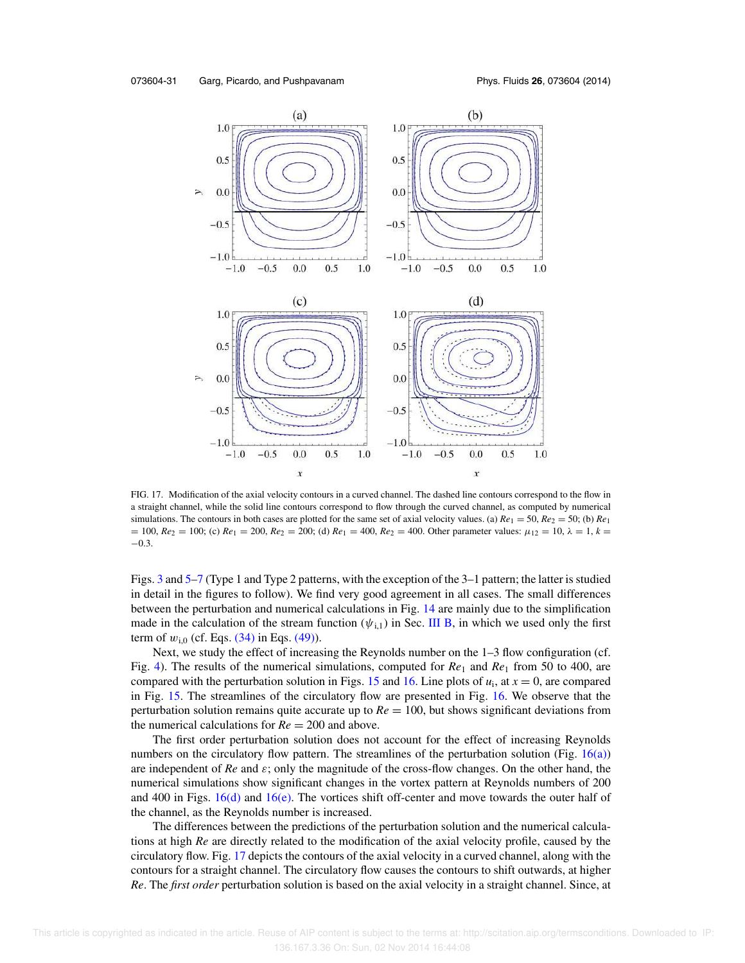

FIG. 17. Modification of the axial velocity contours in a curved channel. The dashed line contours correspond to the flow in a straight channel, while the solid line contours correspond to flow through the curved channel, as computed by numerical simulations. The contours in both cases are plotted for the same set of axial velocity values. (a)  $Re_1 = 50$ ,  $Re_2 = 50$ ; (b)  $Re_1$  $I = 100$ ,  $Re_2 = 100$ ; (c)  $Re_1 = 200$ ,  $Re_2 = 200$ ; (d)  $Re_1 = 400$ ,  $Re_2 = 400$ . Other parameter values:  $\mu_{12} = 10$ ,  $\lambda = 1$ ,  $k = 100$  $-0.3$ .

Figs. 3 and 5–7 (Type 1 and Type 2 patterns, with the exception of the 3–1 pattern; the latter is studied in detail in the figures to follow). We find very good agreement in all cases. The small differences between the perturbation and numerical calculations in Fig. 14 are mainly due to the simplification made in the calculation of the stream function ( $\psi_{i,1}$ ) in Sec. III B, in which we used only the first term of  $w_{i,0}$  (cf. Eqs. (34) in Eqs. (49)).

Next, we study the effect of increasing the Reynolds number on the 1–3 flow configuration (cf. Fig. 4). The results of the numerical simulations, computed for  $Re_1$  and  $Re_1$  from 50 to 400, are compared with the perturbation solution in Figs. 15 and 16. Line plots of  $u_i$ , at  $x = 0$ , are compared in Fig. 15. The streamlines of the circulatory flow are presented in Fig. 16. We observe that the perturbation solution remains quite accurate up to  $Re = 100$ , but shows significant deviations from the numerical calculations for  $Re = 200$  and above.

The first order perturbation solution does not account for the effect of increasing Reynolds numbers on the circulatory flow pattern. The streamlines of the perturbation solution (Fig. 16(a)) are independent of *Re* and ε; only the magnitude of the cross-flow changes. On the other hand, the numerical simulations show significant changes in the vortex pattern at Reynolds numbers of 200 and 400 in Figs.  $16(d)$  and  $16(e)$ . The vortices shift off-center and move towards the outer half of the channel, as the Reynolds number is increased.

The differences between the predictions of the perturbation solution and the numerical calculations at high *Re* are directly related to the modification of the axial velocity profile, caused by the circulatory flow. Fig. 17 depicts the contours of the axial velocity in a curved channel, along with the contours for a straight channel. The circulatory flow causes the contours to shift outwards, at higher *Re*. The *first order* perturbation solution is based on the axial velocity in a straight channel. Since, at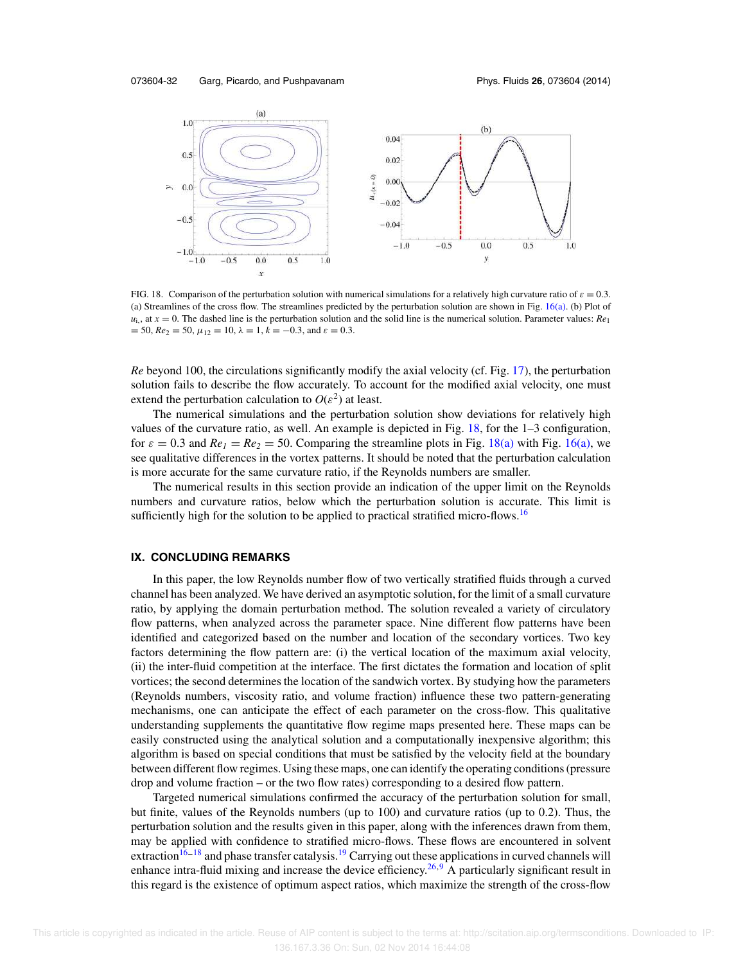

FIG. 18. Comparison of the perturbation solution with numerical simulations for a relatively high curvature ratio of  $\varepsilon = 0.3$ . (a) Streamlines of the cross flow. The streamlines predicted by the perturbation solution are shown in Fig. 16(a). (b) Plot of  $u_i$ , at  $x = 0$ . The dashed line is the perturbation solution and the solid line is the numerical solution. Parameter values:  $Re_1$  $= 50$ ,  $Re_2 = 50$ ,  $\mu_{12} = 10$ ,  $\lambda = 1$ ,  $k = -0.3$ , and  $\varepsilon = 0.3$ .

*Re* beyond 100, the circulations significantly modify the axial velocity (cf. Fig. 17), the perturbation solution fails to describe the flow accurately. To account for the modified axial velocity, one must extend the perturbation calculation to  $O(\varepsilon^2)$  at least.

The numerical simulations and the perturbation solution show deviations for relatively high values of the curvature ratio, as well. An example is depicted in Fig. 18, for the 1–3 configuration, for  $\varepsilon = 0.3$  and  $Re_1 = Re_2 = 50$ . Comparing the streamline plots in Fig. 18(a) with Fig. 16(a), we see qualitative differences in the vortex patterns. It should be noted that the perturbation calculation is more accurate for the same curvature ratio, if the Reynolds numbers are smaller.

The numerical results in this section provide an indication of the upper limit on the Reynolds numbers and curvature ratios, below which the perturbation solution is accurate. This limit is sufficiently high for the solution to be applied to practical stratified micro-flows.<sup>16</sup>

#### **IX. CONCLUDING REMARKS**

In this paper, the low Reynolds number flow of two vertically stratified fluids through a curved channel has been analyzed. We have derived an asymptotic solution, for the limit of a small curvature ratio, by applying the domain perturbation method. The solution revealed a variety of circulatory flow patterns, when analyzed across the parameter space. Nine different flow patterns have been identified and categorized based on the number and location of the secondary vortices. Two key factors determining the flow pattern are: (i) the vertical location of the maximum axial velocity, (ii) the inter-fluid competition at the interface. The first dictates the formation and location of split vortices; the second determines the location of the sandwich vortex. By studying how the parameters (Reynolds numbers, viscosity ratio, and volume fraction) influence these two pattern-generating mechanisms, one can anticipate the effect of each parameter on the cross-flow. This qualitative understanding supplements the quantitative flow regime maps presented here. These maps can be easily constructed using the analytical solution and a computationally inexpensive algorithm; this algorithm is based on special conditions that must be satisfied by the velocity field at the boundary between different flow regimes. Using these maps, one can identify the operating conditions (pressure drop and volume fraction – or the two flow rates) corresponding to a desired flow pattern.

Targeted numerical simulations confirmed the accuracy of the perturbation solution for small, but finite, values of the Reynolds numbers (up to 100) and curvature ratios (up to 0.2). Thus, the perturbation solution and the results given in this paper, along with the inferences drawn from them, may be applied with confidence to stratified micro-flows. These flows are encountered in solvent extraction<sup>16</sup>–<sup>18</sup> and phase transfer catalysis.<sup>19</sup> Carrying out these applications in curved channels will enhance intra-fluid mixing and increase the device efficiency.<sup>26,9</sup> A particularly significant result in this regard is the existence of optimum aspect ratios, which maximize the strength of the cross-flow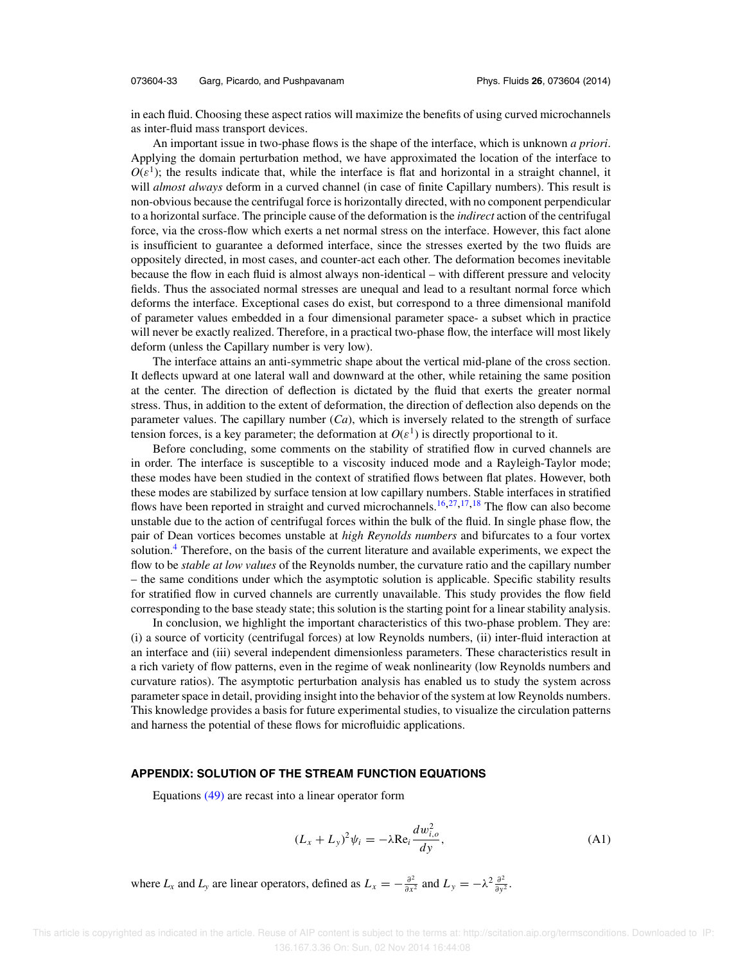in each fluid. Choosing these aspect ratios will maximize the benefits of using curved microchannels as inter-fluid mass transport devices.

An important issue in two-phase flows is the shape of the interface, which is unknown *a priori*. Applying the domain perturbation method, we have approximated the location of the interface to  $O(\varepsilon^1)$ ; the results indicate that, while the interface is flat and horizontal in a straight channel, it will *almost always* deform in a curved channel (in case of finite Capillary numbers). This result is non-obvious because the centrifugal force is horizontally directed, with no component perpendicular to a horizontal surface. The principle cause of the deformation is the *indirect* action of the centrifugal force, via the cross-flow which exerts a net normal stress on the interface. However, this fact alone is insufficient to guarantee a deformed interface, since the stresses exerted by the two fluids are oppositely directed, in most cases, and counter-act each other. The deformation becomes inevitable because the flow in each fluid is almost always non-identical – with different pressure and velocity fields. Thus the associated normal stresses are unequal and lead to a resultant normal force which deforms the interface. Exceptional cases do exist, but correspond to a three dimensional manifold of parameter values embedded in a four dimensional parameter space- a subset which in practice will never be exactly realized. Therefore, in a practical two-phase flow, the interface will most likely deform (unless the Capillary number is very low).

The interface attains an anti-symmetric shape about the vertical mid-plane of the cross section. It deflects upward at one lateral wall and downward at the other, while retaining the same position at the center. The direction of deflection is dictated by the fluid that exerts the greater normal stress. Thus, in addition to the extent of deformation, the direction of deflection also depends on the parameter values. The capillary number (*Ca*), which is inversely related to the strength of surface tension forces, is a key parameter; the deformation at  $O(\varepsilon^1)$  is directly proportional to it.

Before concluding, some comments on the stability of stratified flow in curved channels are in order. The interface is susceptible to a viscosity induced mode and a Rayleigh-Taylor mode; these modes have been studied in the context of stratified flows between flat plates. However, both these modes are stabilized by surface tension at low capillary numbers. Stable interfaces in stratified flows have been reported in straight and curved microchannels.<sup>16</sup>**,**27**,**17**,**<sup>18</sup> The flow can also become unstable due to the action of centrifugal forces within the bulk of the fluid. In single phase flow, the pair of Dean vortices becomes unstable at *high Reynolds numbers* and bifurcates to a four vortex solution.<sup>4</sup> Therefore, on the basis of the current literature and available experiments, we expect the flow to be *stable at low values* of the Reynolds number, the curvature ratio and the capillary number – the same conditions under which the asymptotic solution is applicable. Specific stability results for stratified flow in curved channels are currently unavailable. This study provides the flow field corresponding to the base steady state; this solution is the starting point for a linear stability analysis.

In conclusion, we highlight the important characteristics of this two-phase problem. They are: (i) a source of vorticity (centrifugal forces) at low Reynolds numbers, (ii) inter-fluid interaction at an interface and (iii) several independent dimensionless parameters. These characteristics result in a rich variety of flow patterns, even in the regime of weak nonlinearity (low Reynolds numbers and curvature ratios). The asymptotic perturbation analysis has enabled us to study the system across parameter space in detail, providing insight into the behavior of the system at low Reynolds numbers. This knowledge provides a basis for future experimental studies, to visualize the circulation patterns and harness the potential of these flows for microfluidic applications.

#### **APPENDIX: SOLUTION OF THE STREAM FUNCTION EQUATIONS**

Equations (49) are recast into a linear operator form

$$
(L_x + L_y)^2 \psi_i = -\lambda \text{Re}_i \frac{d w_{i,o}^2}{dy}, \tag{A1}
$$

where  $L_x$  and  $L_y$  are linear operators, defined as  $L_x = -\frac{\partial^2}{\partial x^2}$  $\frac{\partial^2}{\partial x^2}$  and  $L_y = -\lambda^2 \frac{\partial^2}{\partial y^2}$  $rac{\partial^2}{\partial y^2}$ .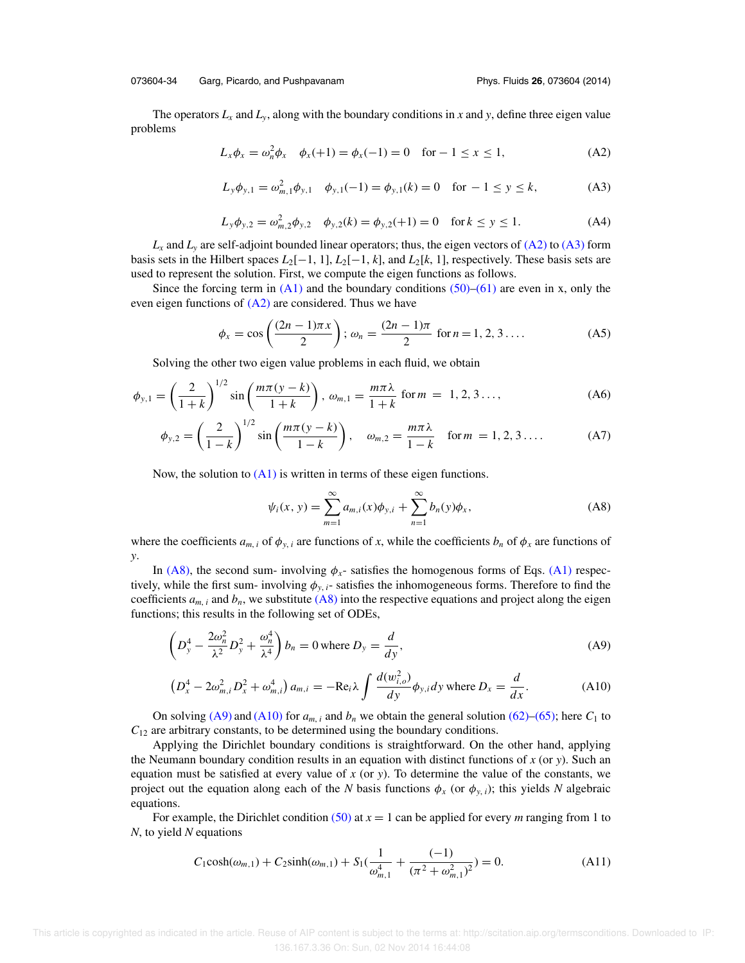073604-34 Garg, Picardo, and Pushpavanam Phys. Fluids **26**, 073604 (2014)

The operators  $L_x$  and  $L_y$ , along with the boundary conditions in x and y, define three eigen value problems

$$
L_x \phi_x = \omega_n^2 \phi_x \quad \phi_x(+1) = \phi_x(-1) = 0 \quad \text{for } -1 \le x \le 1,
$$
 (A2)

$$
L_{y}\phi_{y,1} = \omega_{m,1}^{2}\phi_{y,1} \quad \phi_{y,1}(-1) = \phi_{y,1}(k) = 0 \quad \text{for } -1 \le y \le k,
$$
 (A3)

$$
L_{y}\phi_{y,2} = \omega_{m,2}^{2}\phi_{y,2} \quad \phi_{y,2}(k) = \phi_{y,2}(+1) = 0 \quad \text{for } k \le y \le 1.
$$
 (A4)

 $L_x$  and  $L_y$  are self-adjoint bounded linear operators; thus, the eigen vectors of  $(A2)$  to  $(A3)$  form basis sets in the Hilbert spaces  $L_2[-1, 1]$ ,  $L_2[-1, k]$ , and  $L_2[k, 1]$ , respectively. These basis sets are used to represent the solution. First, we compute the eigen functions as follows.

Since the forcing term in  $(A1)$  and the boundary conditions  $(50)$ – $(61)$  are even in x, only the even eigen functions of  $(A2)$  are considered. Thus we have

$$
\phi_x = \cos\left(\frac{(2n-1)\pi x}{2}\right); \ \omega_n = \frac{(2n-1)\pi}{2} \text{ for } n = 1, 2, 3 \dots \tag{A5}
$$

Solving the other two eigen value problems in each fluid, we obtain

$$
\phi_{y,1} = \left(\frac{2}{1+k}\right)^{1/2} \sin\left(\frac{m\pi(y-k)}{1+k}\right), \ \omega_{m,1} = \frac{m\pi\lambda}{1+k} \text{ for } m = 1, 2, 3 \dots \tag{A6}
$$

$$
\phi_{y,2} = \left(\frac{2}{1-k}\right)^{1/2} \sin\left(\frac{m\pi(y-k)}{1-k}\right), \quad \omega_{m,2} = \frac{m\pi\lambda}{1-k} \quad \text{for } m = 1, 2, 3 \dots \tag{A7}
$$

Now, the solution to  $(A1)$  is written in terms of these eigen functions.

$$
\psi_i(x, y) = \sum_{m=1}^{\infty} a_{m,i}(x)\phi_{y,i} + \sum_{n=1}^{\infty} b_n(y)\phi_x,
$$
 (A8)

where the coefficients  $a_{m,i}$  of  $\phi_{y,i}$  are functions of *x*, while the coefficients  $b_n$  of  $\phi_x$  are functions of *y*.

In (A8), the second sum- involving  $\phi_x$ - satisfies the homogenous forms of Eqs. (A1) respectively, while the first sum- involving  $\phi_{y,i}$ - satisfies the inhomogeneous forms. Therefore to find the coefficients  $a_{m,i}$  and  $b_n$ , we substitute (A8) into the respective equations and project along the eigen functions; this results in the following set of ODEs,

$$
\left(D_y^4 - \frac{2\omega_n^2}{\lambda^2}D_y^2 + \frac{\omega_n^4}{\lambda^4}\right)b_n = 0 \text{ where } D_y = \frac{d}{dy},\tag{A9}
$$

$$
\left(D_x^4 - 2\omega_{m,i}^2 D_x^2 + \omega_{m,i}^4\right) a_{m,i} = -\text{Re}_i\lambda \int \frac{d(w_{i,o}^2)}{dy} \phi_{y,i} dy \text{ where } D_x = \frac{d}{dx}.
$$
 (A10)

On solving (A9) and (A10) for  $a_{m,i}$  and  $b_n$  we obtain the general solution (62)–(65); here  $C_1$  to  $C_{12}$  are arbitrary constants, to be determined using the boundary conditions.

Applying the Dirichlet boundary conditions is straightforward. On the other hand, applying the Neumann boundary condition results in an equation with distinct functions of *x* (or *y*). Such an equation must be satisfied at every value of *x* (or *y*). To determine the value of the constants, we project out the equation along each of the *N* basis functions  $\phi_x$  (or  $\phi_{y,i}$ ); this yields *N* algebraic equations.

For example, the Dirichlet condition (50) at  $x = 1$  can be applied for every *m* ranging from 1 to *N*, to yield *N* equations

$$
C_1 \cosh(\omega_{m,1}) + C_2 \sinh(\omega_{m,1}) + S_1 \left(\frac{1}{\omega_{m,1}^4} + \frac{(-1)}{(\pi^2 + \omega_{m,1}^2)^2}\right) = 0.
$$
 (A11)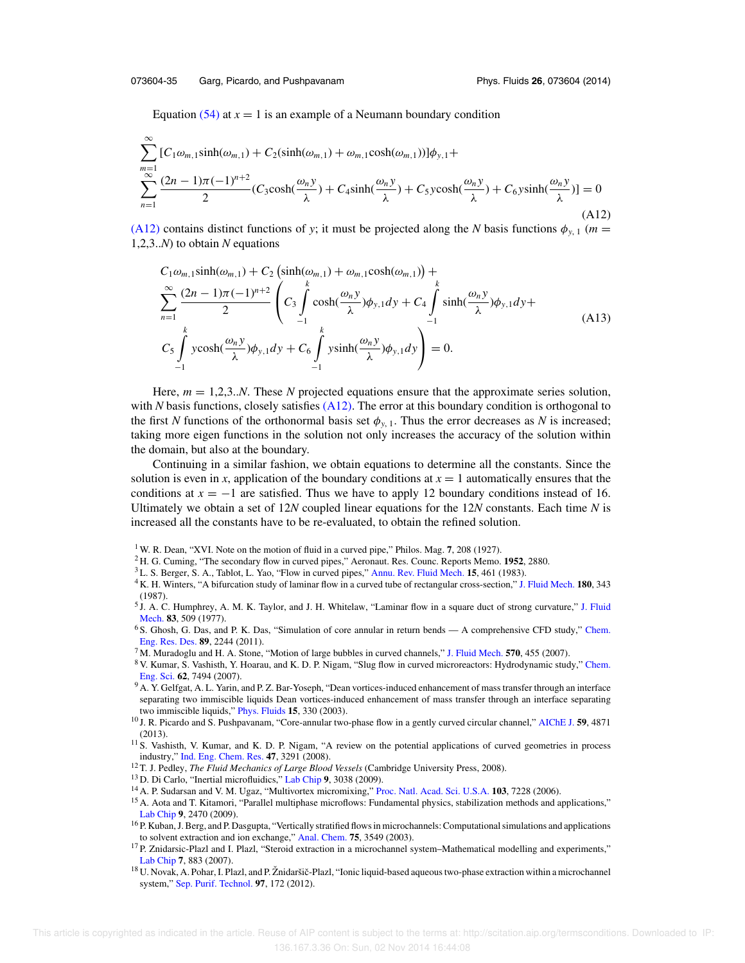Equation  $(54)$  at  $x = 1$  is an example of a Neumann boundary condition

$$
\sum_{m=1}^{\infty} \left[ C_1 \omega_{m,1} \sinh(\omega_{m,1}) + C_2 (\sinh(\omega_{m,1}) + \omega_{m,1} \cosh(\omega_{m,1})) \right] \phi_{y,1} +
$$
\n
$$
\sum_{n=1}^{\infty} \frac{(2n-1)\pi(-1)^{n+2}}{2} (C_3 \cosh(\frac{\omega_n y}{\lambda}) + C_4 \sinh(\frac{\omega_n y}{\lambda}) + C_5 \text{ycosh}(\frac{\omega_n y}{\lambda}) + C_6 \text{ysinh}(\frac{\omega_n y}{\lambda}) \right] = 0
$$
\n(A12)

(A12) contains distinct functions of *y*; it must be projected along the *N* basis functions  $\phi_{v,1}$  (*m* = 1,2,3..*N*) to obtain *N* equations

$$
C_1\omega_{m,1}\sinh(\omega_{m,1}) + C_2\left(\sinh(\omega_{m,1}) + \omega_{m,1}\cosh(\omega_{m,1})\right) +
$$
  
\n
$$
\sum_{n=1}^{\infty} \frac{(2n-1)\pi(-1)^{n+2}}{2} \left(C_3 \int_{-1}^{k} \cosh(\frac{\omega_n y}{\lambda}) \phi_{y,1} dy + C_4 \int_{-1}^{k} \sinh(\frac{\omega_n y}{\lambda}) \phi_{y,1} dy + C_5 \int_{-1}^{k} y \cosh(\frac{\omega_n y}{\lambda}) \phi_{y,1} dy + C_6 \int_{-1}^{k} y \sinh(\frac{\omega_n y}{\lambda}) \phi_{y,1} dy\right) = 0.
$$
\n(A13)

Here, *m* = 1,2,3..*N*. These *N* projected equations ensure that the approximate series solution, with *N* basis functions, closely satisfies (A12). The error at this boundary condition is orthogonal to the first *N* functions of the orthonormal basis set  $\phi_{y,1}$ . Thus the error decreases as *N* is increased; taking more eigen functions in the solution not only increases the accuracy of the solution within the domain, but also at the boundary.

Continuing in a similar fashion, we obtain equations to determine all the constants. Since the solution is even in *x*, application of the boundary conditions at  $x = 1$  automatically ensures that the conditions at  $x = -1$  are satisfied. Thus we have to apply 12 boundary conditions instead of 16. Ultimately we obtain a set of 12*N* coupled linear equations for the 12*N* constants. Each time *N* is increased all the constants have to be re-evaluated, to obtain the refined solution.

- <sup>1</sup> W. R. Dean, "XVI. Note on the motion of fluid in a curved pipe," Philos. Mag. 7, 208 (1927).
- <sup>2</sup> H. G. Cuming, "The secondary flow in curved pipes," Aeronaut. Res. Counc. Reports Memo. **1952**, 2880.
- <sup>3</sup> L. S. Berger, S. A., Tablot, L. Yao, "Flow in curved pipes," Annu. Rev. Fluid Mech. **15**, 461 (1983).
- <sup>4</sup> K. H. Winters, "A bifurcation study of laminar flow in a curved tube of rectangular cross-section," J. Fluid Mech. **180**, 343 (1987).
- 5 J. A. C. Humphrey, A. M. K. Taylor, and J. H. Whitelaw, "Laminar flow in a square duct of strong curvature," J. Fluid Mech. **83**, 509 (1977).
- <sup>6</sup> S. Ghosh, G. Das, and P. K. Das, "Simulation of core annular in return bends A comprehensive CFD study," Chem. Eng. Res. Des. **89**, 2244 (2011).
- <sup>7</sup> M. Muradoglu and H. A. Stone, "Motion of large bubbles in curved channels," J. Fluid Mech. **570**, 455 (2007).
- <sup>8</sup> V. Kumar, S. Vashisth, Y. Hoarau, and K. D. P. Nigam, "Slug flow in curved microreactors: Hydrodynamic study," Chem. Eng. Sci. **62**, 7494 (2007).
- <sup>9</sup> A. Y. Gelfgat, A. L. Yarin, and P. Z. Bar-Yoseph, "Dean vortices-induced enhancement of mass transfer through an interface separating two immiscible liquids Dean vortices-induced enhancement of mass transfer through an interface separating two immiscible liquids," Phys. Fluids **15**, 330 (2003).
- <sup>10</sup> J. R. Picardo and S. Pushpavanam, "Core-annular two-phase flow in a gently curved circular channel," AIChE J. **59**, 4871 (2013).
- <sup>11</sup> S. Vashisth, V. Kumar, and K. D. P. Nigam, "A review on the potential applications of curved geometries in process industry," Ind. Eng. Chem. Res. **47**, 3291 (2008).
- <sup>12</sup> T. J. Pedley, *The Fluid Mechanics of Large Blood Vessels* (Cambridge University Press, 2008).
- <sup>13</sup> D. Di Carlo, "Inertial microfluidics," Lab Chip **9**, 3038 (2009).
- <sup>14</sup> A. P. Sudarsan and V. M. Ugaz, "Multivortex micromixing," Proc. Natl. Acad. Sci. U.S.A. **103**, 7228 (2006).
- <sup>15</sup> A. Aota and T. Kitamori, "Parallel multiphase microflows: Fundamental physics, stabilization methods and applications," Lab Chip **9**, 2470 (2009).
- <sup>16</sup> P. Kuban, J. Berg, and P. Dasgupta, "Vertically stratified flows in microchannels: Computational simulations and applications to solvent extraction and ion exchange," Anal. Chem. **75**, 3549 (2003).
- <sup>17</sup> P. Znidarsic-Plazl and I. Plazl, "Steroid extraction in a microchannel system–Mathematical modelling and experiments," Lab Chip **7**, 883 (2007).
- $18$  U. Novak, A. Pohar, I. Plazl, and P. Žnidaršič-Plazl, "Ionic liquid-based aqueous two-phase extraction within a microchannel system," Sep. Purif. Technol. **97**, 172 (2012).